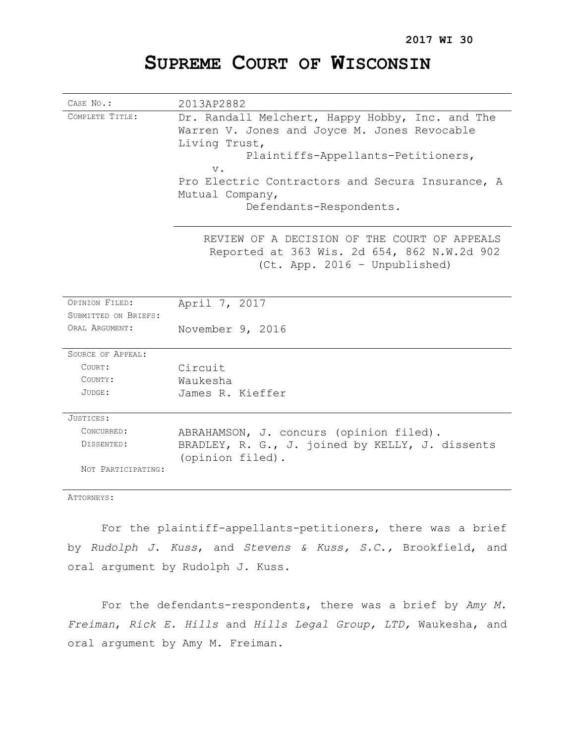# **SUPREME COURT OF WISCONSIN**

| CASE No.:            | 2013AP2882                                                                                                                                                                                                                                                        |
|----------------------|-------------------------------------------------------------------------------------------------------------------------------------------------------------------------------------------------------------------------------------------------------------------|
| COMPLETE TITLE:      | Dr. Randall Melchert, Happy Hobby, Inc. and The<br>Warren V. Jones and Joyce M. Jones Revocable<br>Living Trust,<br>Plaintiffs-Appellants-Petitioners,<br>$V$ .<br>Pro Electric Contractors and Secura Insurance, A<br>Mutual Company,<br>Defendants-Respondents. |
|                      | REVIEW OF A DECISION OF THE COURT OF APPEALS<br>Reported at 363 Wis. 2d 654, 862 N.W.2d 902<br>(Ct. App. 2016 - Unpublished)                                                                                                                                      |
| OPINION FILED:       | April 7, 2017                                                                                                                                                                                                                                                     |
| SUBMITTED ON BRIEFS: |                                                                                                                                                                                                                                                                   |
| ORAL ARGUMENT:       | November 9, 2016                                                                                                                                                                                                                                                  |
| SOURCE OF APPEAL:    |                                                                                                                                                                                                                                                                   |
| COURT:               | Circuit                                                                                                                                                                                                                                                           |
| COUNTY:              | Waukesha                                                                                                                                                                                                                                                          |
| JUDGE:               | James R. Kieffer                                                                                                                                                                                                                                                  |
| JUSTICES:            |                                                                                                                                                                                                                                                                   |
| CONCURRED:           | ABRAHAMSON, J. concurs (opinion filed).                                                                                                                                                                                                                           |
| DISSENTED:           | BRADLEY, R. G., J. joined by KELLY, J. dissents                                                                                                                                                                                                                   |
| NOT PARTICIPATING:   | (opinion filed).                                                                                                                                                                                                                                                  |

ATTORNEYS:

For the plaintiff-appellants-petitioners, there was a brief by *Rudolph J. Kuss*, and *Stevens & Kuss, S.C.,* Brookfield, and oral argument by Rudolph J. Kuss.

For the defendants-respondents, there was a brief by *Amy M. Freiman*, *Rick E. Hills* and *Hills Legal Group, LTD,* Waukesha, and oral argument by Amy M. Freiman.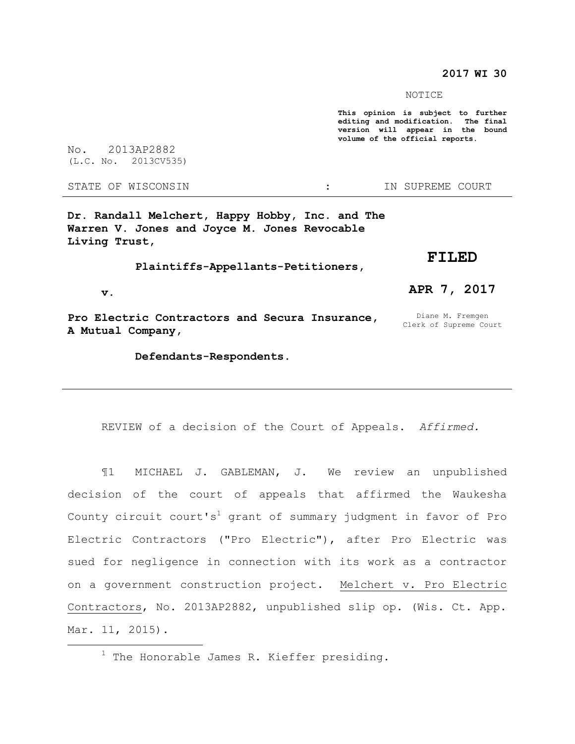#### **2017 WI 30**

NOTICE

**This opinion is subject to further editing and modification. The final version will appear in the bound volume of the official reports.** 

No. 2013AP2882 (L.C. No. 2013CV535)

STATE OF WISCONSIN THE RESERVE STATE OF WISCONSIN THE SERVER SOURT

**Dr. Randall Melchert, Happy Hobby, Inc. and The Warren V. Jones and Joyce M. Jones Revocable Living Trust,**

 **Plaintiffs-Appellants-Petitioners,**

## **FILED**

**APR 7, 2017**

 **v.**

 $\overline{a}$ 

**Pro Electric Contractors and Secura Insurance, A Mutual Company,** Diane M. Fremgen Clerk of Supreme Court

 **Defendants-Respondents.**

REVIEW of a decision of the Court of Appeals. *Affirmed.*

¶1 MICHAEL J. GABLEMAN, J. We review an unpublished decision of the court of appeals that affirmed the Waukesha County circuit court's<sup>1</sup> grant of summary judgment in favor of Pro Electric Contractors ("Pro Electric"), after Pro Electric was sued for negligence in connection with its work as a contractor on a government construction project. Melchert v. Pro Electric Contractors, No. 2013AP2882, unpublished slip op. (Wis. Ct. App. Mar. 11, 2015).

 $1$  The Honorable James R. Kieffer presiding.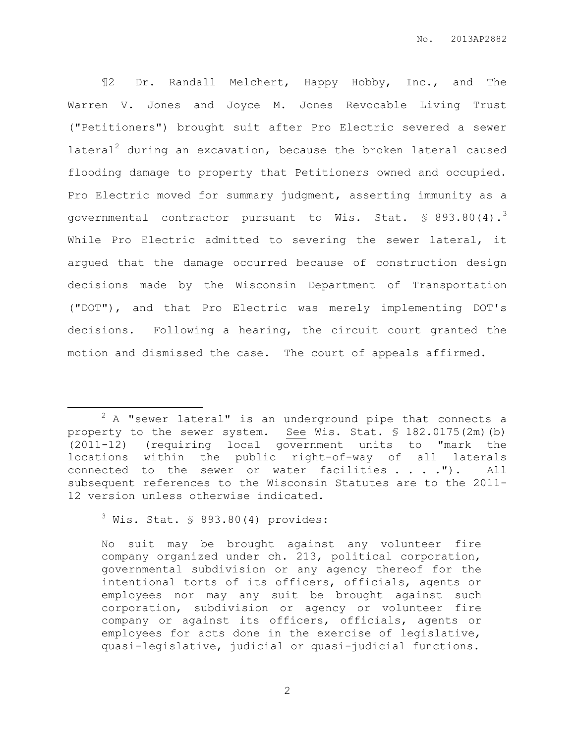¶2 Dr. Randall Melchert, Happy Hobby, Inc., and The Warren V. Jones and Joyce M. Jones Revocable Living Trust ("Petitioners") brought suit after Pro Electric severed a sewer  $lateral<sup>2</sup>$  during an excavation, because the broken lateral caused flooding damage to property that Petitioners owned and occupied. Pro Electric moved for summary judgment, asserting immunity as a governmental contractor pursuant to Wis. Stat. § 893.80(4).<sup>3</sup> While Pro Electric admitted to severing the sewer lateral, it argued that the damage occurred because of construction design decisions made by the Wisconsin Department of Transportation ("DOT"), and that Pro Electric was merely implementing DOT's decisions. Following a hearing, the circuit court granted the motion and dismissed the case. The court of appeals affirmed.

 $3$  Wis. Stat. § 893.80(4) provides:

 $\overline{a}$ 

No suit may be brought against any volunteer fire company organized under ch. 213, political corporation, governmental subdivision or any agency thereof for the intentional torts of its officers, officials, agents or employees nor may any suit be brought against such corporation, subdivision or agency or volunteer fire company or against its officers, officials, agents or employees for acts done in the exercise of legislative, quasi-legislative, judicial or quasi-judicial functions.

 $2$  A "sewer lateral" is an underground pipe that connects a property to the sewer system. See Wis. Stat. § 182.0175(2m)(b) (2011-12) (requiring local government units to "mark the locations within the public right-of-way of all laterals connected to the sewer or water facilities . . . ."). All subsequent references to the Wisconsin Statutes are to the 2011- 12 version unless otherwise indicated.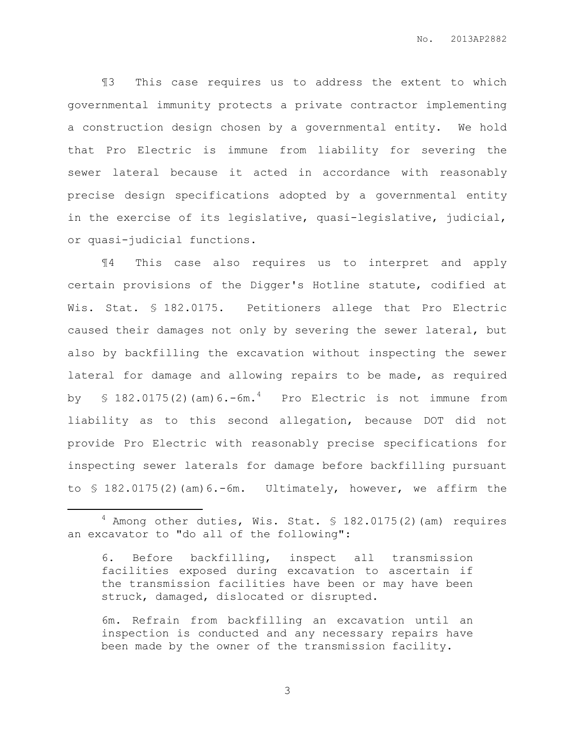¶3 This case requires us to address the extent to which governmental immunity protects a private contractor implementing a construction design chosen by a governmental entity. We hold that Pro Electric is immune from liability for severing the sewer lateral because it acted in accordance with reasonably precise design specifications adopted by a governmental entity in the exercise of its legislative, quasi-legislative, judicial, or quasi-judicial functions.

¶4 This case also requires us to interpret and apply certain provisions of the Digger's Hotline statute, codified at Wis. Stat. § 182.0175. Petitioners allege that Pro Electric caused their damages not only by severing the sewer lateral, but also by backfilling the excavation without inspecting the sewer lateral for damage and allowing repairs to be made, as required by  $\ S$  182.0175(2)(am) 6.-6m.<sup>4</sup> Pro Electric is not immune from liability as to this second allegation, because DOT did not provide Pro Electric with reasonably precise specifications for inspecting sewer laterals for damage before backfilling pursuant to § 182.0175(2)(am)6.-6m. Ultimately, however, we affirm the

 $\overline{a}$ 

6m. Refrain from backfilling an excavation until an inspection is conducted and any necessary repairs have been made by the owner of the transmission facility.

 $4$  Among other duties, Wis. Stat.  $$ 182.0175(2)$  (am) requires an excavator to "do all of the following":

<sup>6.</sup> Before backfilling, inspect all transmission facilities exposed during excavation to ascertain if the transmission facilities have been or may have been struck, damaged, dislocated or disrupted.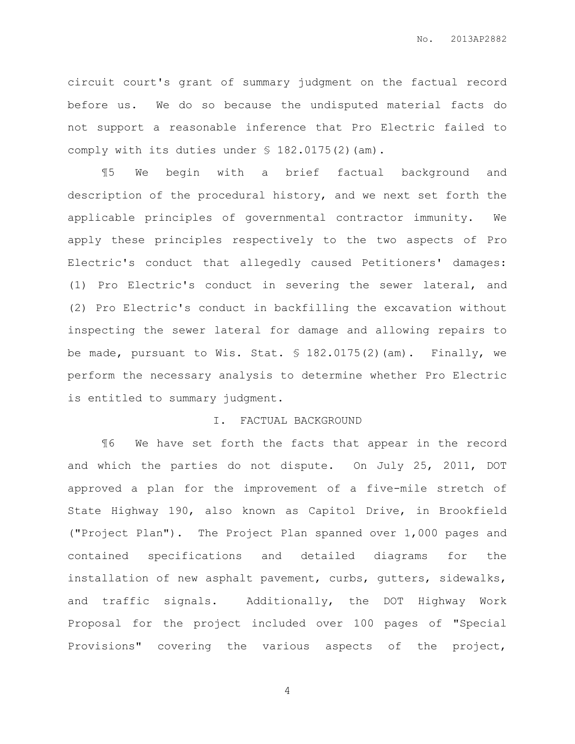circuit court's grant of summary judgment on the factual record before us. We do so because the undisputed material facts do not support a reasonable inference that Pro Electric failed to comply with its duties under § 182.0175(2)(am).

¶5 We begin with a brief factual background and description of the procedural history, and we next set forth the applicable principles of governmental contractor immunity. We apply these principles respectively to the two aspects of Pro Electric's conduct that allegedly caused Petitioners' damages: (1) Pro Electric's conduct in severing the sewer lateral, and (2) Pro Electric's conduct in backfilling the excavation without inspecting the sewer lateral for damage and allowing repairs to be made, pursuant to Wis. Stat. § 182.0175(2)(am). Finally, we perform the necessary analysis to determine whether Pro Electric is entitled to summary judgment.

### I. FACTUAL BACKGROUND

¶6 We have set forth the facts that appear in the record and which the parties do not dispute. On July 25, 2011, DOT approved a plan for the improvement of a five-mile stretch of State Highway 190, also known as Capitol Drive, in Brookfield ("Project Plan"). The Project Plan spanned over 1,000 pages and contained specifications and detailed diagrams for the installation of new asphalt pavement, curbs, gutters, sidewalks, and traffic signals. Additionally, the DOT Highway Work Proposal for the project included over 100 pages of "Special Provisions" covering the various aspects of the project,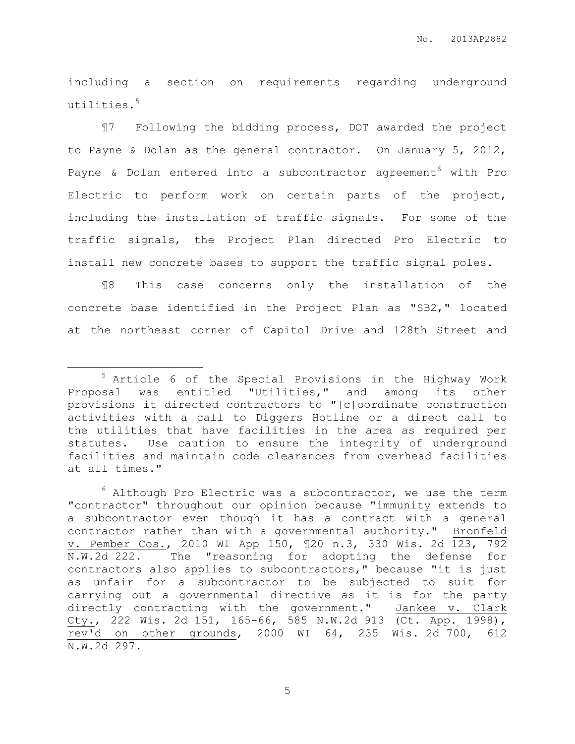including a section on requirements regarding underground utilities.<sup>5</sup>

¶7 Following the bidding process, DOT awarded the project to Payne & Dolan as the general contractor. On January 5, 2012, Payne & Dolan entered into a subcontractor agreement<sup>6</sup> with Pro Electric to perform work on certain parts of the project, including the installation of traffic signals. For some of the traffic signals, the Project Plan directed Pro Electric to install new concrete bases to support the traffic signal poles.

¶8 This case concerns only the installation of the concrete base identified in the Project Plan as "SB2," located at the northeast corner of Capitol Drive and 128th Street and

 $\overline{a}$ 

<sup>5</sup> Article 6 of the Special Provisions in the Highway Work Proposal was entitled "Utilities," and among its other provisions it directed contractors to "[c]oordinate construction activities with a call to Diggers Hotline or a direct call to the utilities that have facilities in the area as required per statutes. Use caution to ensure the integrity of underground facilities and maintain code clearances from overhead facilities at all times."

 $6$  Although Pro Electric was a subcontractor, we use the term "contractor" throughout our opinion because "immunity extends to a subcontractor even though it has a contract with a general contractor rather than with a governmental authority." Bronfeld v. Pember Cos., 2010 WI App 150, ¶20 n.3, 330 Wis. 2d 123, 792 N.W.2d 222. The "reasoning for adopting the defense for contractors also applies to subcontractors," because "it is just as unfair for a subcontractor to be subjected to suit for carrying out a governmental directive as it is for the party directly contracting with the government." Jankee v. Clark Cty., 222 Wis. 2d 151, 165-66, 585 N.W.2d 913 (Ct. App. 1998), rev'd on other grounds, 2000 WI 64, 235 Wis. 2d 700, 612 N.W.2d 297.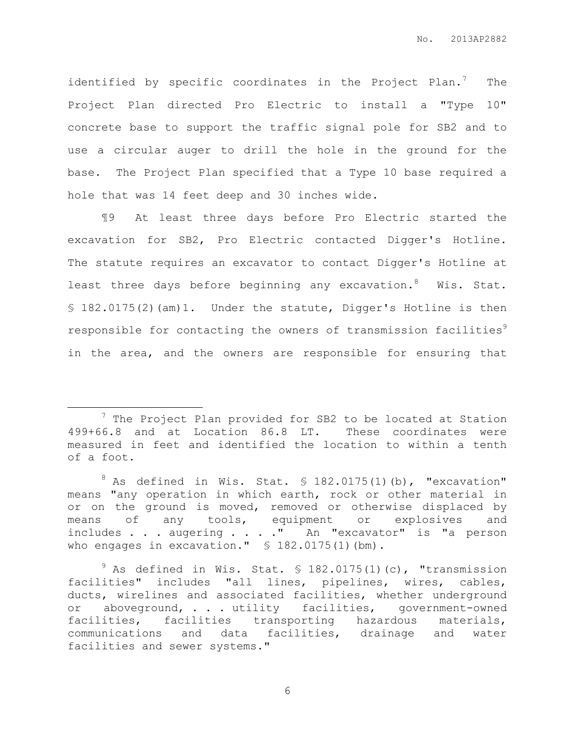identified by specific coordinates in the Project Plan.<sup>7</sup> The Project Plan directed Pro Electric to install a "Type 10" concrete base to support the traffic signal pole for SB2 and to use a circular auger to drill the hole in the ground for the base. The Project Plan specified that a Type 10 base required a hole that was 14 feet deep and 30 inches wide.

¶9 At least three days before Pro Electric started the excavation for SB2, Pro Electric contacted Digger's Hotline. The statute requires an excavator to contact Digger's Hotline at least three days before beginning any excavation.  $8$  Wis. Stat. § 182.0175(2)(am)1. Under the statute, Digger's Hotline is then responsible for contacting the owners of transmission facilities<sup>9</sup> in the area, and the owners are responsible for ensuring that

 $\overline{a}$ 

<sup>7</sup> The Project Plan provided for SB2 to be located at Station 499+66.8 and at Location 86.8 LT. These coordinates were measured in feet and identified the location to within a tenth of a foot.

 $8$  As defined in Wis. Stat.  $$ 182.0175(1) (b)$ , "excavation" means "any operation in which earth, rock or other material in or on the ground is moved, removed or otherwise displaced by means of any tools, equipment or explosives and includes . . . augering . . . . " An "excavator" is "a person who engages in excavation." § 182.0175(1)(bm).

 $9$  As defined in Wis. Stat. § 182.0175(1)(c), "transmission facilities" includes "all lines, pipelines, wires, cables, ducts, wirelines and associated facilities, whether underground or aboveground, . . . utility facilities, government-owned facilities, facilities transporting hazardous materials, communications and data facilities, drainage and water facilities and sewer systems."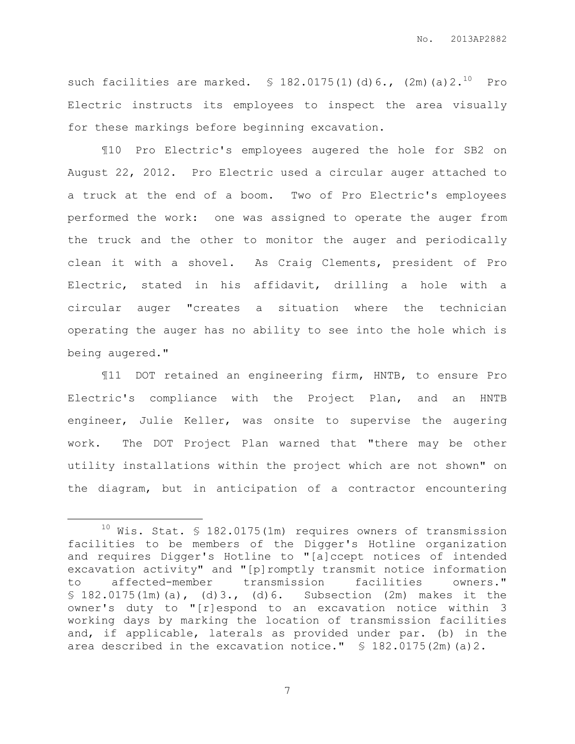such facilities are marked.  $\frac{182.0175(1)}{d6}$ ,  $(2m)(a)2.^{10}$  Pro Electric instructs its employees to inspect the area visually for these markings before beginning excavation.

¶10 Pro Electric's employees augered the hole for SB2 on August 22, 2012. Pro Electric used a circular auger attached to a truck at the end of a boom. Two of Pro Electric's employees performed the work: one was assigned to operate the auger from the truck and the other to monitor the auger and periodically clean it with a shovel. As Craig Clements, president of Pro Electric, stated in his affidavit, drilling a hole with a circular auger "creates a situation where the technician operating the auger has no ability to see into the hole which is being augered."

¶11 DOT retained an engineering firm, HNTB, to ensure Pro Electric's compliance with the Project Plan, and an HNTB engineer, Julie Keller, was onsite to supervise the augering work. The DOT Project Plan warned that "there may be other utility installations within the project which are not shown" on the diagram, but in anticipation of a contractor encountering

 $\overline{a}$ 

<sup>10</sup> Wis. Stat. § 182.0175(1m) requires owners of transmission facilities to be members of the Digger's Hotline organization and requires Digger's Hotline to "[a]ccept notices of intended excavation activity" and "[p]romptly transmit notice information to affected-member transmission facilities owners." § 182.0175(1m)(a), (d)3., (d)6. Subsection (2m) makes it the owner's duty to "[r]espond to an excavation notice within 3 working days by marking the location of transmission facilities and, if applicable, laterals as provided under par. (b) in the area described in the excavation notice."  $\leq 182.0175(2m)(a)2$ .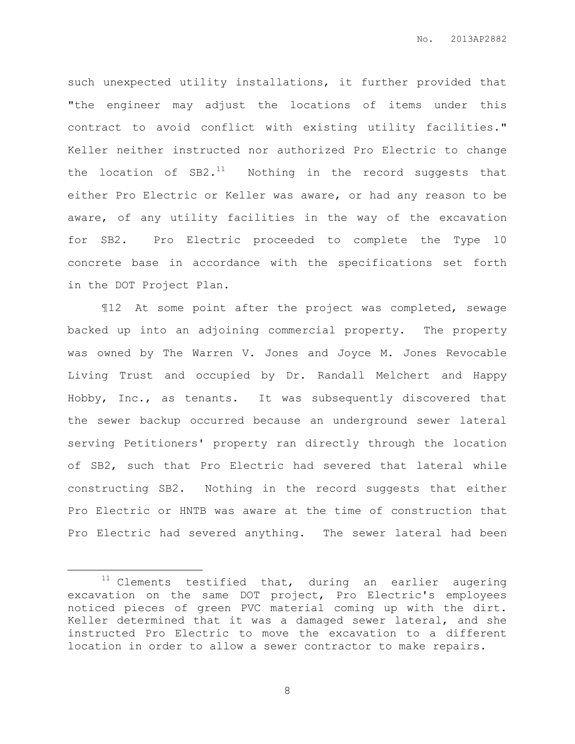such unexpected utility installations, it further provided that "the engineer may adjust the locations of items under this contract to avoid conflict with existing utility facilities." Keller neither instructed nor authorized Pro Electric to change the location of  $SB2.^{11}$  Nothing in the record suggests that either Pro Electric or Keller was aware, or had any reason to be aware, of any utility facilities in the way of the excavation for SB2. Pro Electric proceeded to complete the Type 10 concrete base in accordance with the specifications set forth in the DOT Project Plan.

¶12 At some point after the project was completed, sewage backed up into an adjoining commercial property. The property was owned by The Warren V. Jones and Joyce M. Jones Revocable Living Trust and occupied by Dr. Randall Melchert and Happy Hobby, Inc., as tenants. It was subsequently discovered that the sewer backup occurred because an underground sewer lateral serving Petitioners' property ran directly through the location of SB2, such that Pro Electric had severed that lateral while constructing SB2. Nothing in the record suggests that either Pro Electric or HNTB was aware at the time of construction that Pro Electric had severed anything. The sewer lateral had been

 $\overline{a}$ 

 $11$  Clements testified that, during an earlier augering excavation on the same DOT project, Pro Electric's employees noticed pieces of green PVC material coming up with the dirt. Keller determined that it was a damaged sewer lateral, and she instructed Pro Electric to move the excavation to a different location in order to allow a sewer contractor to make repairs.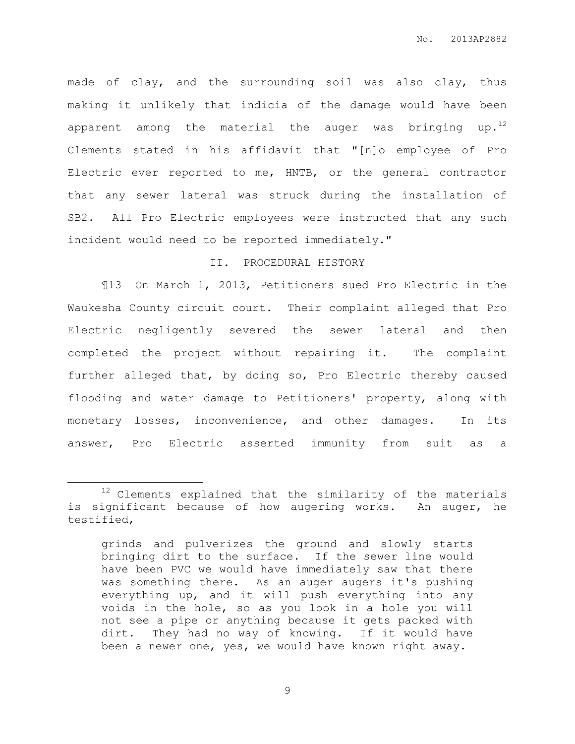made of clay, and the surrounding soil was also clay, thus making it unlikely that indicia of the damage would have been apparent among the material the auger was bringing up.<sup>12</sup> Clements stated in his affidavit that "[n]o employee of Pro Electric ever reported to me, HNTB, or the general contractor that any sewer lateral was struck during the installation of SB2. All Pro Electric employees were instructed that any such incident would need to be reported immediately."

#### II. PROCEDURAL HISTORY

¶13 On March 1, 2013, Petitioners sued Pro Electric in the Waukesha County circuit court. Their complaint alleged that Pro Electric negligently severed the sewer lateral and then completed the project without repairing it. The complaint further alleged that, by doing so, Pro Electric thereby caused flooding and water damage to Petitioners' property, along with monetary losses, inconvenience, and other damages. In its answer, Pro Electric asserted immunity from suit as a

 $\overline{a}$ 

<sup>12</sup> Clements explained that the similarity of the materials is significant because of how augering works. An auger, he testified,

grinds and pulverizes the ground and slowly starts bringing dirt to the surface. If the sewer line would have been PVC we would have immediately saw that there was something there. As an auger augers it's pushing everything up, and it will push everything into any voids in the hole, so as you look in a hole you will not see a pipe or anything because it gets packed with dirt. They had no way of knowing. If it would have been a newer one, yes, we would have known right away.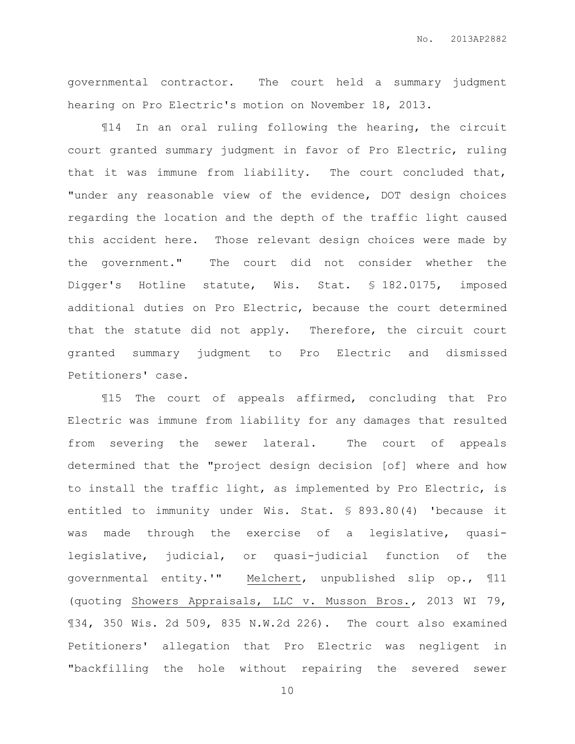governmental contractor. The court held a summary judgment hearing on Pro Electric's motion on November 18, 2013.

¶14 In an oral ruling following the hearing, the circuit court granted summary judgment in favor of Pro Electric, ruling that it was immune from liability. The court concluded that, "under any reasonable view of the evidence, DOT design choices regarding the location and the depth of the traffic light caused this accident here. Those relevant design choices were made by the government." The court did not consider whether the Digger's Hotline statute, Wis. Stat. § 182.0175, imposed additional duties on Pro Electric, because the court determined that the statute did not apply. Therefore, the circuit court granted summary judgment to Pro Electric and dismissed Petitioners' case.

¶15 The court of appeals affirmed, concluding that Pro Electric was immune from liability for any damages that resulted from severing the sewer lateral. The court of appeals determined that the "project design decision [of] where and how to install the traffic light, as implemented by Pro Electric, is entitled to immunity under Wis. Stat. § 893.80(4) 'because it was made through the exercise of a legislative, quasilegislative, judicial, or quasi-judicial function of the governmental entity.'" Melchert, unpublished slip op., ¶11 (quoting Showers Appraisals, LLC v. Musson Bros.*,* 2013 WI 79, ¶34, 350 Wis. 2d 509, 835 N.W.2d 226). The court also examined Petitioners' allegation that Pro Electric was negligent in "backfilling the hole without repairing the severed sewer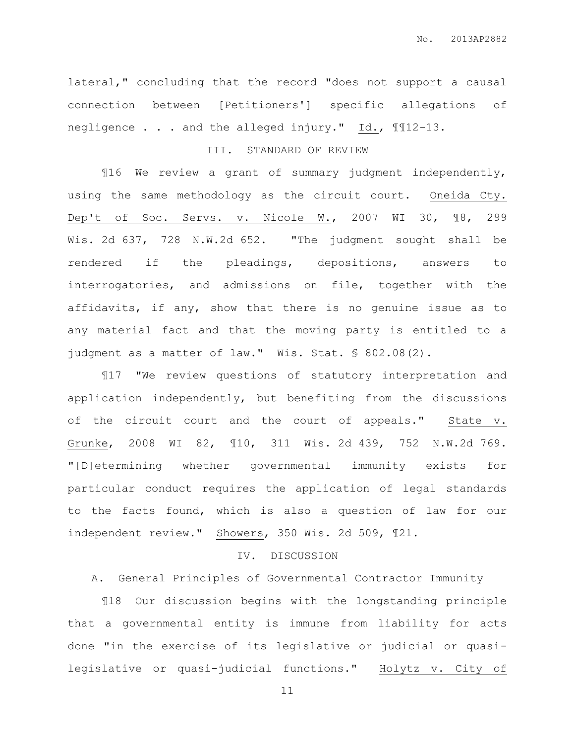lateral," concluding that the record "does not support a causal connection between [Petitioners'] specific allegations of negligence . . . and the alleged injury." Id., ¶¶12-13.

#### III. STANDARD OF REVIEW

¶16 We review a grant of summary judgment independently, using the same methodology as the circuit court. Oneida Cty. Dep't of Soc. Servs. v. Nicole W., 2007 WI 30, ¶8, 299 Wis. 2d 637, 728 N.W.2d 652. "The judgment sought shall be rendered if the pleadings, depositions, answers to interrogatories, and admissions on file, together with the affidavits, if any, show that there is no genuine issue as to any material fact and that the moving party is entitled to a judgment as a matter of law." Wis. Stat. § 802.08(2).

¶17 "We review questions of statutory interpretation and application independently, but benefiting from the discussions of the circuit court and the court of appeals." State v. Grunke, 2008 WI 82, ¶10, 311 Wis. 2d 439, 752 N.W.2d 769. "[D]etermining whether governmental immunity exists for particular conduct requires the application of legal standards to the facts found, which is also a question of law for our independent review." Showers, 350 Wis. 2d 509, ¶21.

#### IV. DISCUSSION

A. General Principles of Governmental Contractor Immunity

¶18 Our discussion begins with the longstanding principle that a governmental entity is immune from liability for acts done "in the exercise of its legislative or judicial or quasilegislative or quasi-judicial functions." Holytz v. City of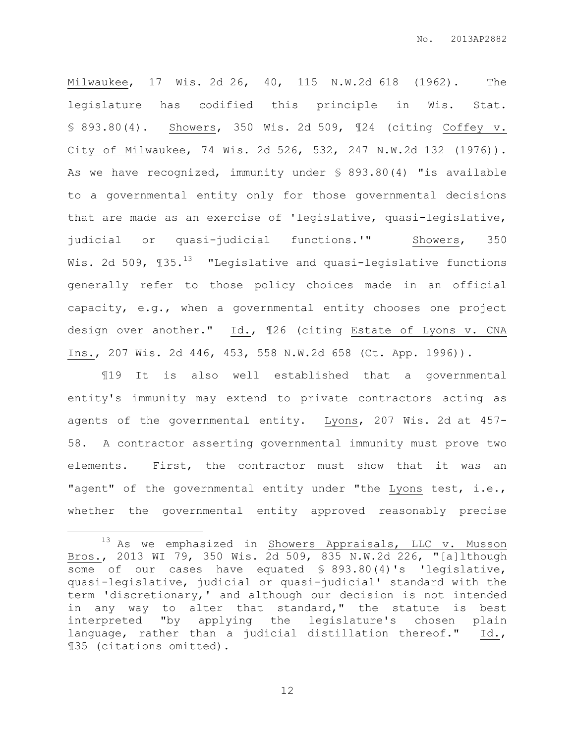Milwaukee, 17 Wis. 2d 26, 40, 115 N.W.2d 618 (1962). The legislature has codified this principle in Wis. Stat. § 893.80(4). Showers, 350 Wis. 2d 509, ¶24 (citing Coffey v. City of Milwaukee, 74 Wis. 2d 526, 532, 247 N.W.2d 132 (1976)). As we have recognized, immunity under § 893.80(4) "is available to a governmental entity only for those governmental decisions that are made as an exercise of 'legislative, quasi-legislative, judicial or quasi-judicial functions.'" Showers, 350 Wis. 2d 509,  $133$  "Legislative and quasi-legislative functions generally refer to those policy choices made in an official capacity, e.g., when a governmental entity chooses one project design over another." Id., ¶26 (citing Estate of Lyons v. CNA Ins., 207 Wis. 2d 446, 453, 558 N.W.2d 658 (Ct. App. 1996)).

¶19 It is also well established that a governmental entity's immunity may extend to private contractors acting as agents of the governmental entity. Lyons, 207 Wis. 2d at 457- 58. A contractor asserting governmental immunity must prove two elements. First, the contractor must show that it was an "agent" of the governmental entity under "the Lyons test, i.e., whether the governmental entity approved reasonably precise

 $\overline{a}$ 

<sup>&</sup>lt;sup>13</sup> As we emphasized in Showers Appraisals, LLC v. Musson Bros., 2013 WI 79, 350 Wis. 2d 509, 835 N.W.2d 226, "[a]lthough some of our cases have equated § 893.80(4)'s 'legislative, quasi-legislative, judicial or quasi-judicial' standard with the term 'discretionary,' and although our decision is not intended in any way to alter that standard," the statute is best interpreted "by applying the legislature's chosen plain language, rather than a judicial distillation thereof." Id., ¶35 (citations omitted).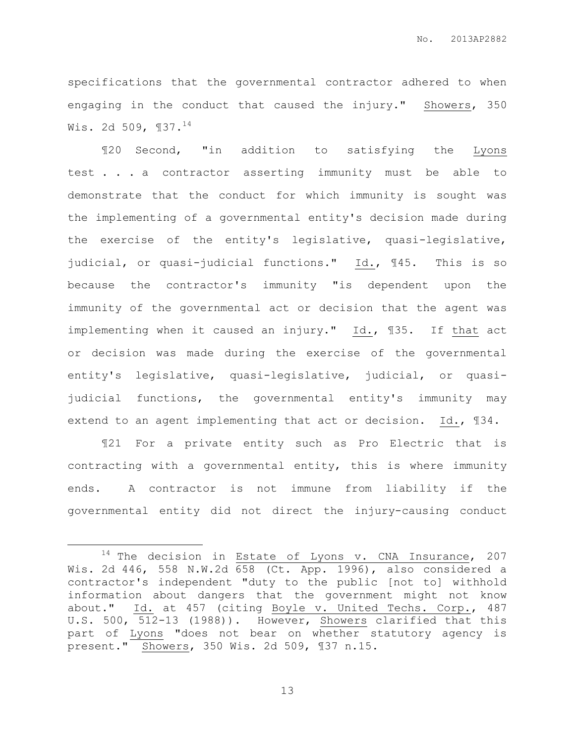specifications that the governmental contractor adhered to when engaging in the conduct that caused the injury." Showers, 350 Wis. 2d 509,  $137.14$ 

¶20 Second, "in addition to satisfying the Lyons test . . . a contractor asserting immunity must be able to demonstrate that the conduct for which immunity is sought was the implementing of a governmental entity's decision made during the exercise of the entity's legislative, quasi-legislative, judicial, or quasi-judicial functions." Id., ¶45. This is so because the contractor's immunity "is dependent upon the immunity of the governmental act or decision that the agent was implementing when it caused an injury." Id., ¶35. If that act or decision was made during the exercise of the governmental entity's legislative, quasi-legislative, judicial, or quasijudicial functions, the governmental entity's immunity may extend to an agent implementing that act or decision. Id., ¶34.

¶21 For a private entity such as Pro Electric that is contracting with a governmental entity, this is where immunity ends. A contractor is not immune from liability if the governmental entity did not direct the injury-causing conduct

 $\overline{a}$ 

<sup>&</sup>lt;sup>14</sup> The decision in  $Estate$  of Lyons v. CNA Insurance, 207 Wis. 2d 446, 558 N.W.2d 658 (Ct. App. 1996), also considered a contractor's independent "duty to the public [not to] withhold information about dangers that the government might not know about." Id. at 457 (citing Boyle v. United Techs. Corp., 487 U.S. 500, 512-13 (1988)). However, Showers clarified that this part of Lyons "does not bear on whether statutory agency is present." Showers, 350 Wis. 2d 509, ¶37 n.15.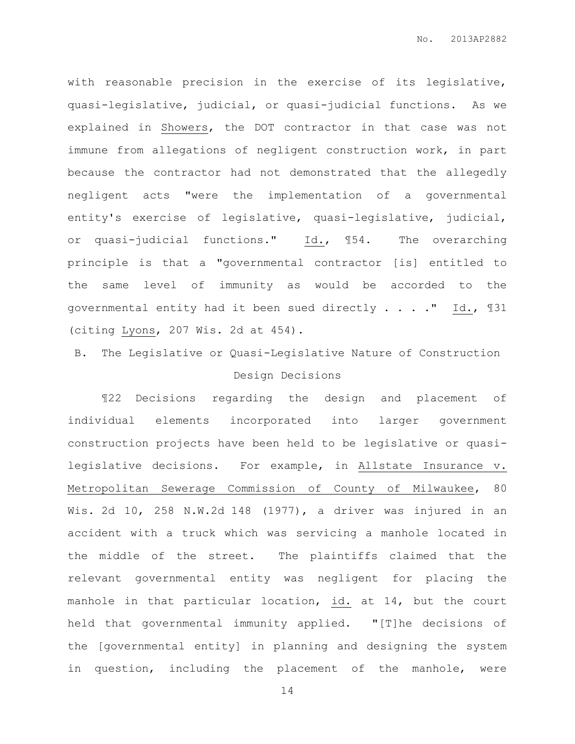with reasonable precision in the exercise of its legislative, quasi-legislative, judicial, or quasi-judicial functions. As we explained in Showers, the DOT contractor in that case was not immune from allegations of negligent construction work, in part because the contractor had not demonstrated that the allegedly negligent acts "were the implementation of a governmental entity's exercise of legislative, quasi-legislative, judicial, or quasi-judicial functions." Id., ¶54. The overarching principle is that a "governmental contractor [is] entitled to the same level of immunity as would be accorded to the governmental entity had it been sued directly  $\ldots$  . . . Td.,  $\text{I31}$ (citing Lyons, 207 Wis. 2d at 454).

## B. The Legislative or Quasi-Legislative Nature of Construction Design Decisions

¶22 Decisions regarding the design and placement of individual elements incorporated into larger government construction projects have been held to be legislative or quasilegislative decisions. For example, in Allstate Insurance v. Metropolitan Sewerage Commission of County of Milwaukee, 80 Wis. 2d 10, 258 N.W.2d 148 (1977), a driver was injured in an accident with a truck which was servicing a manhole located in the middle of the street. The plaintiffs claimed that the relevant governmental entity was negligent for placing the manhole in that particular location, id. at 14, but the court held that governmental immunity applied. "[T]he decisions of the [governmental entity] in planning and designing the system in question, including the placement of the manhole, were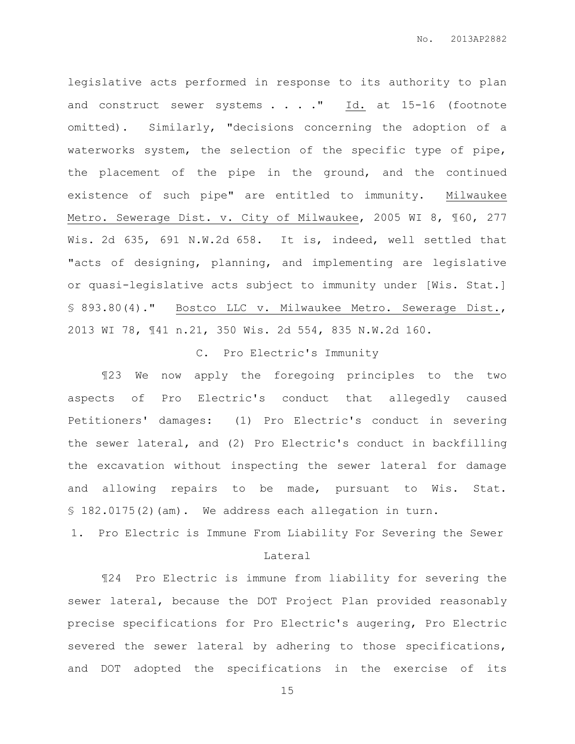legislative acts performed in response to its authority to plan and construct sewer systems . . . . " Id. at 15-16 (footnote omitted). Similarly, "decisions concerning the adoption of a waterworks system, the selection of the specific type of pipe, the placement of the pipe in the ground, and the continued existence of such pipe" are entitled to immunity. Milwaukee Metro. Sewerage Dist. v. City of Milwaukee, 2005 WI 8, ¶60, 277 Wis. 2d 635, 691 N.W.2d 658. It is, indeed, well settled that "acts of designing, planning, and implementing are legislative or quasi-legislative acts subject to immunity under [Wis. Stat.] § 893.80(4)." Bostco LLC v. Milwaukee Metro. Sewerage Dist., 2013 WI 78, ¶41 n.21, 350 Wis. 2d 554, 835 N.W.2d 160.

### C. Pro Electric's Immunity

¶23 We now apply the foregoing principles to the two aspects of Pro Electric's conduct that allegedly caused Petitioners' damages: (1) Pro Electric's conduct in severing the sewer lateral, and (2) Pro Electric's conduct in backfilling the excavation without inspecting the sewer lateral for damage and allowing repairs to be made, pursuant to Wis. Stat. § 182.0175(2)(am). We address each allegation in turn.

1. Pro Electric is Immune From Liability For Severing the Sewer

#### Lateral

¶24 Pro Electric is immune from liability for severing the sewer lateral, because the DOT Project Plan provided reasonably precise specifications for Pro Electric's augering, Pro Electric severed the sewer lateral by adhering to those specifications, and DOT adopted the specifications in the exercise of its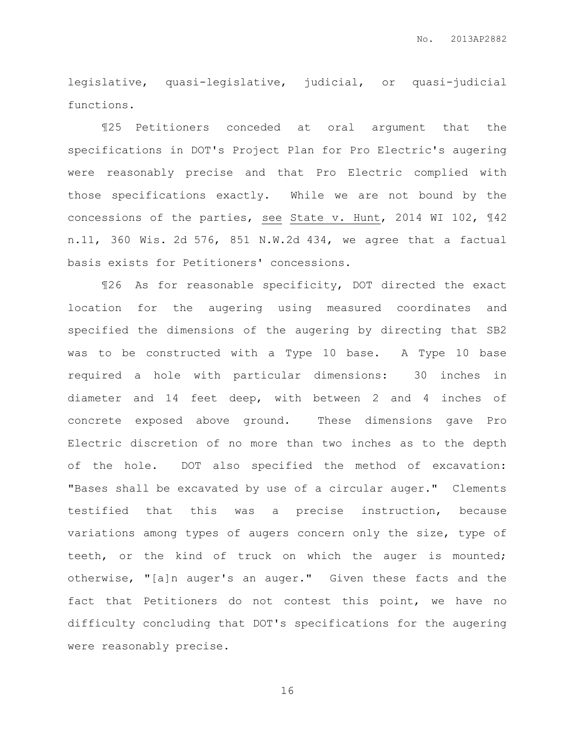legislative, quasi-legislative, judicial, or quasi-judicial functions.

¶25 Petitioners conceded at oral argument that the specifications in DOT's Project Plan for Pro Electric's augering were reasonably precise and that Pro Electric complied with those specifications exactly. While we are not bound by the concessions of the parties, see State v. Hunt, 2014 WI 102, 142 n.11, 360 Wis. 2d 576, 851 N.W.2d 434, we agree that a factual basis exists for Petitioners' concessions.

¶26 As for reasonable specificity, DOT directed the exact location for the augering using measured coordinates and specified the dimensions of the augering by directing that SB2 was to be constructed with a Type 10 base. A Type 10 base required a hole with particular dimensions: 30 inches in diameter and 14 feet deep, with between 2 and 4 inches of concrete exposed above ground. These dimensions gave Pro Electric discretion of no more than two inches as to the depth of the hole. DOT also specified the method of excavation: "Bases shall be excavated by use of a circular auger." Clements testified that this was a precise instruction, because variations among types of augers concern only the size, type of teeth, or the kind of truck on which the auger is mounted; otherwise, "[a]n auger's an auger." Given these facts and the fact that Petitioners do not contest this point, we have no difficulty concluding that DOT's specifications for the augering were reasonably precise.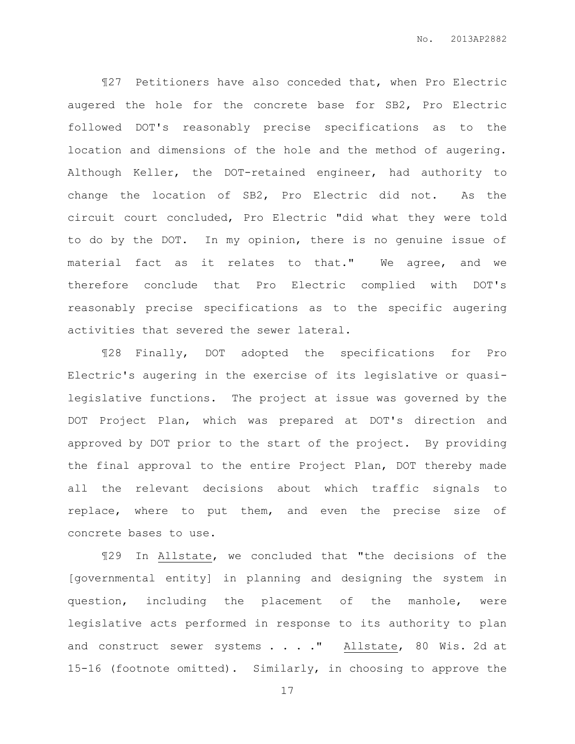¶27 Petitioners have also conceded that, when Pro Electric augered the hole for the concrete base for SB2, Pro Electric followed DOT's reasonably precise specifications as to the location and dimensions of the hole and the method of augering. Although Keller, the DOT-retained engineer, had authority to change the location of SB2, Pro Electric did not. As the circuit court concluded, Pro Electric "did what they were told to do by the DOT. In my opinion, there is no genuine issue of material fact as it relates to that." We agree, and we therefore conclude that Pro Electric complied with DOT's reasonably precise specifications as to the specific augering activities that severed the sewer lateral.

¶28 Finally, DOT adopted the specifications for Pro Electric's augering in the exercise of its legislative or quasilegislative functions. The project at issue was governed by the DOT Project Plan, which was prepared at DOT's direction and approved by DOT prior to the start of the project. By providing the final approval to the entire Project Plan, DOT thereby made all the relevant decisions about which traffic signals to replace, where to put them, and even the precise size of concrete bases to use.

¶29 In Allstate, we concluded that "the decisions of the [governmental entity] in planning and designing the system in question, including the placement of the manhole, were legislative acts performed in response to its authority to plan and construct sewer systems . . . . " Allstate, 80 Wis. 2d at 15-16 (footnote omitted). Similarly, in choosing to approve the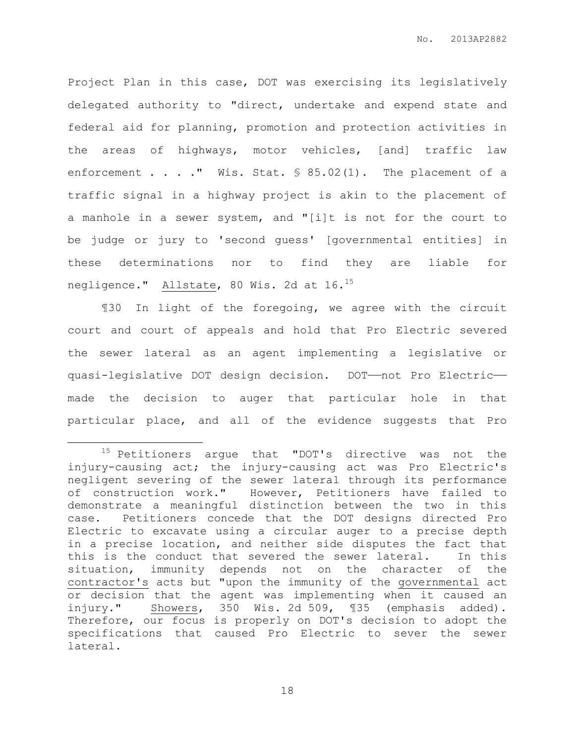Project Plan in this case, DOT was exercising its legislatively delegated authority to "direct, undertake and expend state and federal aid for planning, promotion and protection activities in the areas of highways, motor vehicles, [and] traffic law enforcement . . . . " Wis. Stat. § 85.02(1). The placement of a traffic signal in a highway project is akin to the placement of a manhole in a sewer system, and "[i]t is not for the court to be judge or jury to 'second guess' [governmental entities] in these determinations nor to find they are liable for negligence." Allstate, 80 Wis. 2d at 16. $^{15}$ 

¶30 In light of the foregoing, we agree with the circuit court and court of appeals and hold that Pro Electric severed the sewer lateral as an agent implementing a legislative or quasi-legislative DOT design decision. DOT——not Pro Electric— made the decision to auger that particular hole in that particular place, and all of the evidence suggests that Pro

 $\overline{a}$ 

<sup>15</sup> Petitioners argue that "DOT's directive was not the injury-causing act; the injury-causing act was Pro Electric's negligent severing of the sewer lateral through its performance of construction work." However, Petitioners have failed to demonstrate a meaningful distinction between the two in this case. Petitioners concede that the DOT designs directed Pro Electric to excavate using a circular auger to a precise depth in a precise location, and neither side disputes the fact that this is the conduct that severed the sewer lateral. In this situation, immunity depends not on the character of the contractor's acts but "upon the immunity of the governmental act or decision that the agent was implementing when it caused an injury." Showers, 350 Wis. 2d 509, ¶35 (emphasis added). Therefore, our focus is properly on DOT's decision to adopt the specifications that caused Pro Electric to sever the sewer lateral.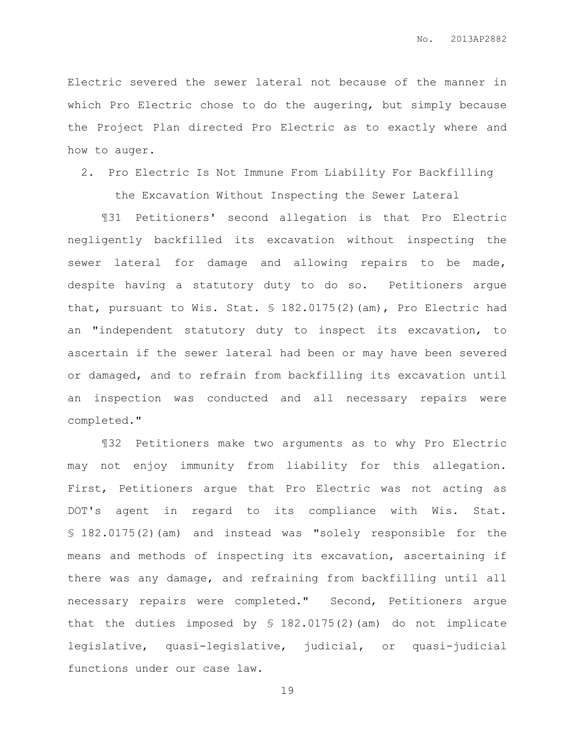Electric severed the sewer lateral not because of the manner in which Pro Electric chose to do the augering, but simply because the Project Plan directed Pro Electric as to exactly where and how to auger.

2. Pro Electric Is Not Immune From Liability For Backfilling the Excavation Without Inspecting the Sewer Lateral

¶31 Petitioners' second allegation is that Pro Electric negligently backfilled its excavation without inspecting the sewer lateral for damage and allowing repairs to be made, despite having a statutory duty to do so. Petitioners argue that, pursuant to Wis. Stat. § 182.0175(2)(am), Pro Electric had an "independent statutory duty to inspect its excavation, to ascertain if the sewer lateral had been or may have been severed or damaged, and to refrain from backfilling its excavation until an inspection was conducted and all necessary repairs were completed."

¶32 Petitioners make two arguments as to why Pro Electric may not enjoy immunity from liability for this allegation. First, Petitioners argue that Pro Electric was not acting as DOT's agent in regard to its compliance with Wis. Stat. § 182.0175(2)(am) and instead was "solely responsible for the means and methods of inspecting its excavation, ascertaining if there was any damage, and refraining from backfilling until all necessary repairs were completed." Second, Petitioners argue that the duties imposed by § 182.0175(2)(am) do not implicate legislative, quasi-legislative, judicial, or quasi-judicial functions under our case law.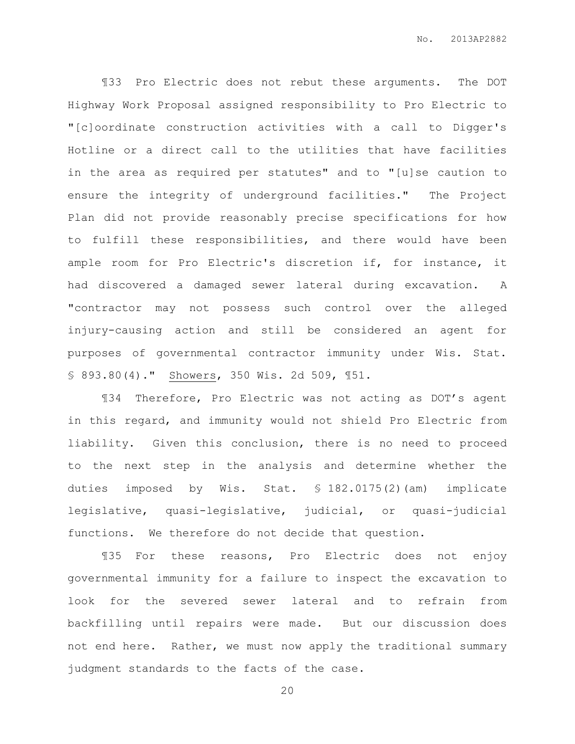¶33 Pro Electric does not rebut these arguments. The DOT Highway Work Proposal assigned responsibility to Pro Electric to "[c]oordinate construction activities with a call to Digger's Hotline or a direct call to the utilities that have facilities in the area as required per statutes" and to "[u]se caution to ensure the integrity of underground facilities." The Project Plan did not provide reasonably precise specifications for how to fulfill these responsibilities, and there would have been ample room for Pro Electric's discretion if, for instance, it had discovered a damaged sewer lateral during excavation. A "contractor may not possess such control over the alleged injury-causing action and still be considered an agent for purposes of governmental contractor immunity under Wis. Stat. § 893.80(4)." Showers, 350 Wis. 2d 509, ¶51.

¶34 Therefore, Pro Electric was not acting as DOT's agent in this regard, and immunity would not shield Pro Electric from liability. Given this conclusion, there is no need to proceed to the next step in the analysis and determine whether the duties imposed by Wis. Stat. § 182.0175(2)(am) implicate legislative, quasi-legislative, judicial, or quasi-judicial functions. We therefore do not decide that question.

¶35 For these reasons, Pro Electric does not enjoy governmental immunity for a failure to inspect the excavation to look for the severed sewer lateral and to refrain from backfilling until repairs were made. But our discussion does not end here. Rather, we must now apply the traditional summary judgment standards to the facts of the case.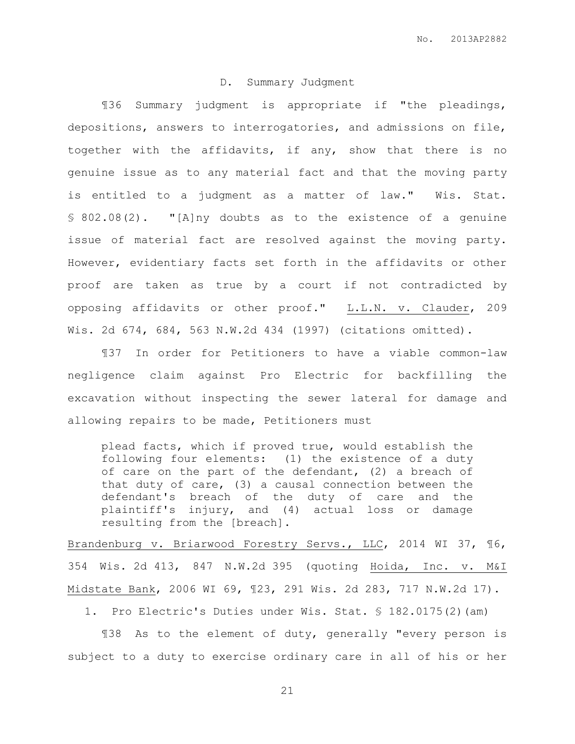#### D. Summary Judgment

¶36 Summary judgment is appropriate if "the pleadings, depositions, answers to interrogatories, and admissions on file, together with the affidavits, if any, show that there is no genuine issue as to any material fact and that the moving party is entitled to a judgment as a matter of law." Wis. Stat. § 802.08(2). "[A]ny doubts as to the existence of a genuine issue of material fact are resolved against the moving party. However, evidentiary facts set forth in the affidavits or other proof are taken as true by a court if not contradicted by opposing affidavits or other proof." L.L.N. v. Clauder, 209 Wis. 2d 674, 684, 563 N.W.2d 434 (1997) (citations omitted).

¶37 In order for Petitioners to have a viable common-law negligence claim against Pro Electric for backfilling the excavation without inspecting the sewer lateral for damage and allowing repairs to be made, Petitioners must

plead facts, which if proved true, would establish the following four elements: (1) the existence of a duty of care on the part of the defendant, (2) a breach of that duty of care, (3) a causal connection between the defendant's breach of the duty of care and the plaintiff's injury, and (4) actual loss or damage resulting from the [breach].

Brandenburg v. Briarwood Forestry Servs., LLC, 2014 WI 37, ¶6, 354 Wis. 2d 413, 847 N.W.2d 395 (quoting Hoida, Inc. v. M&I Midstate Bank, 2006 WI 69, ¶23, 291 Wis. 2d 283, 717 N.W.2d 17).

1. Pro Electric's Duties under Wis. Stat. § 182.0175(2)(am)

¶38 As to the element of duty, generally "every person is subject to a duty to exercise ordinary care in all of his or her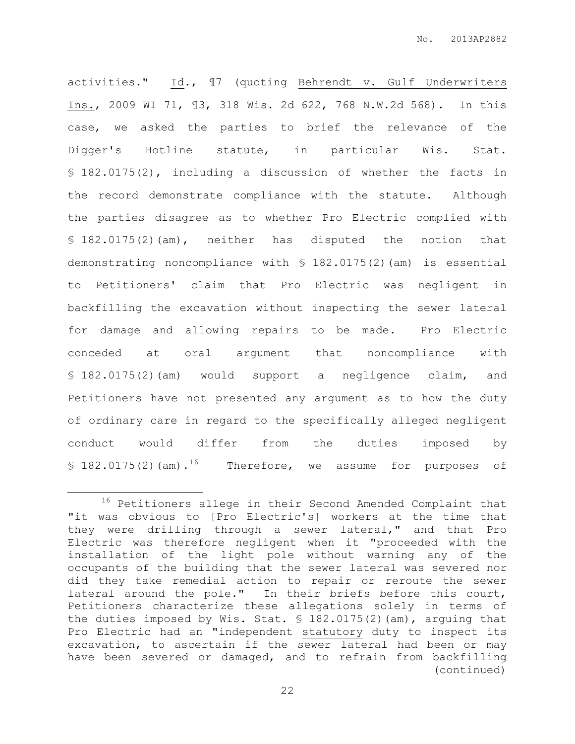activities." Id., ¶7 (quoting Behrendt v. Gulf Underwriters Ins., 2009 WI 71, ¶3, 318 Wis. 2d 622, 768 N.W.2d 568). In this case, we asked the parties to brief the relevance of the Digger's Hotline statute, in particular Wis. Stat. § 182.0175(2), including a discussion of whether the facts in the record demonstrate compliance with the statute. Although the parties disagree as to whether Pro Electric complied with § 182.0175(2)(am), neither has disputed the notion that demonstrating noncompliance with § 182.0175(2)(am) is essential to Petitioners' claim that Pro Electric was negligent in backfilling the excavation without inspecting the sewer lateral for damage and allowing repairs to be made. Pro Electric conceded at oral argument that noncompliance with § 182.0175(2)(am) would support a negligence claim, and Petitioners have not presented any argument as to how the duty of ordinary care in regard to the specifically alleged negligent conduct would differ from the duties imposed by § 182.0175(2)(am).<sup>16</sup> Therefore, we assume for purposes of

 $\overline{a}$ 

 $^{16}$  Petitioners allege in their Second Amended Complaint that "it was obvious to [Pro Electric's] workers at the time that they were drilling through a sewer lateral," and that Pro Electric was therefore negligent when it "proceeded with the installation of the light pole without warning any of the occupants of the building that the sewer lateral was severed nor did they take remedial action to repair or reroute the sewer lateral around the pole." In their briefs before this court, Petitioners characterize these allegations solely in terms of the duties imposed by Wis. Stat.  $\frac{182.0175(2)}{2}$  (am), arguing that Pro Electric had an "independent statutory duty to inspect its excavation, to ascertain if the sewer lateral had been or may have been severed or damaged, and to refrain from backfilling (continued)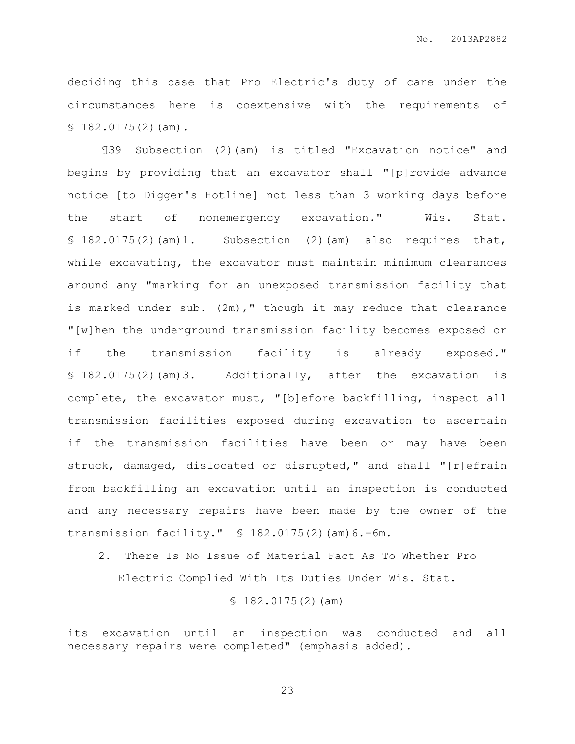deciding this case that Pro Electric's duty of care under the circumstances here is coextensive with the requirements of  $$182.0175(2)(am).$ 

¶39 Subsection (2)(am) is titled "Excavation notice" and begins by providing that an excavator shall "[p]rovide advance notice [to Digger's Hotline] not less than 3 working days before the start of nonemergency excavation." Wis. Stat.  $$182.0175(2)(am)1.$  Subsection (2)(am) also requires that, while excavating, the excavator must maintain minimum clearances around any "marking for an unexposed transmission facility that is marked under sub.  $(2m)$ ," though it may reduce that clearance "[w]hen the underground transmission facility becomes exposed or if the transmission facility is already exposed." § 182.0175(2)(am)3. Additionally, after the excavation is complete, the excavator must, "[b]efore backfilling, inspect all transmission facilities exposed during excavation to ascertain if the transmission facilities have been or may have been struck, damaged, dislocated or disrupted," and shall "[r]efrain from backfilling an excavation until an inspection is conducted and any necessary repairs have been made by the owner of the transmission facility."  $$ 182.0175(2) (am) 6.-6m.$ 

2. There Is No Issue of Material Fact As To Whether Pro Electric Complied With Its Duties Under Wis. Stat.

 $$182.0175(2)(am)$ 

 $\overline{a}$ 

its excavation until an inspection was conducted and all necessary repairs were completed" (emphasis added).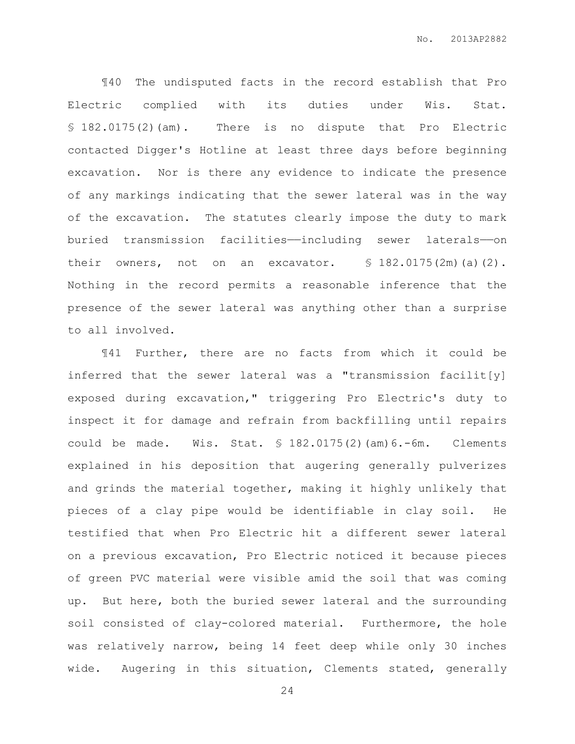¶40 The undisputed facts in the record establish that Pro Electric complied with its duties under Wis. Stat. § 182.0175(2)(am). There is no dispute that Pro Electric contacted Digger's Hotline at least three days before beginning excavation. Nor is there any evidence to indicate the presence of any markings indicating that the sewer lateral was in the way of the excavation. The statutes clearly impose the duty to mark buried transmission facilities——including sewer laterals——on their owners, not on an excavator. § 182.0175(2m)(a)(2). Nothing in the record permits a reasonable inference that the presence of the sewer lateral was anything other than a surprise to all involved.

¶41 Further, there are no facts from which it could be inferred that the sewer lateral was a "transmission facilit[y] exposed during excavation," triggering Pro Electric's duty to inspect it for damage and refrain from backfilling until repairs could be made. Wis. Stat.  $\text{\$ } 182.0175(2)$  (am)  $6.-6$ m. Clements explained in his deposition that augering generally pulverizes and grinds the material together, making it highly unlikely that pieces of a clay pipe would be identifiable in clay soil. He testified that when Pro Electric hit a different sewer lateral on a previous excavation, Pro Electric noticed it because pieces of green PVC material were visible amid the soil that was coming up. But here, both the buried sewer lateral and the surrounding soil consisted of clay-colored material. Furthermore, the hole was relatively narrow, being 14 feet deep while only 30 inches wide. Augering in this situation, Clements stated, generally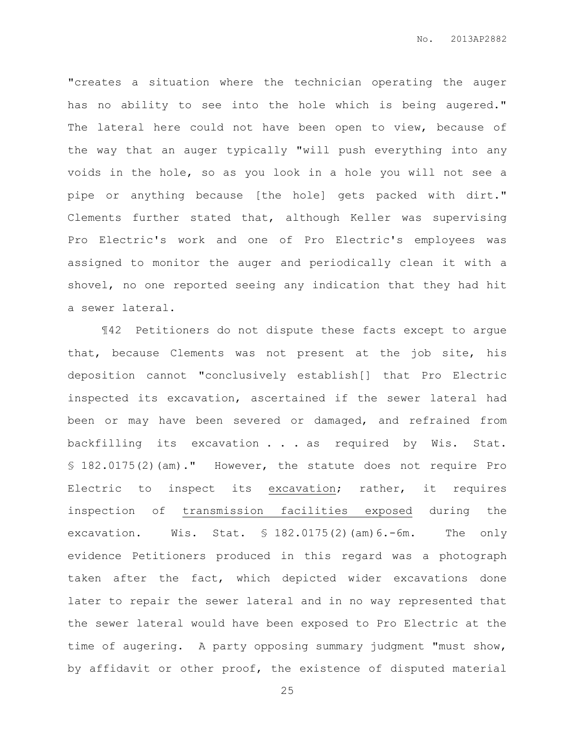"creates a situation where the technician operating the auger has no ability to see into the hole which is being augered." The lateral here could not have been open to view, because of the way that an auger typically "will push everything into any voids in the hole, so as you look in a hole you will not see a pipe or anything because [the hole] gets packed with dirt." Clements further stated that, although Keller was supervising Pro Electric's work and one of Pro Electric's employees was assigned to monitor the auger and periodically clean it with a shovel, no one reported seeing any indication that they had hit a sewer lateral.

¶42 Petitioners do not dispute these facts except to argue that, because Clements was not present at the job site, his deposition cannot "conclusively establish[] that Pro Electric inspected its excavation, ascertained if the sewer lateral had been or may have been severed or damaged, and refrained from backfilling its excavation . . . as required by Wis. Stat. § 182.0175(2)(am)." However, the statute does not require Pro Electric to inspect its excavation; rather, it requires inspection of transmission facilities exposed during the excavation. Wis. Stat.  $\frac{182.0175(2)}{am}$  (am) 6.-6m. The only evidence Petitioners produced in this regard was a photograph taken after the fact, which depicted wider excavations done later to repair the sewer lateral and in no way represented that the sewer lateral would have been exposed to Pro Electric at the time of augering. A party opposing summary judgment "must show, by affidavit or other proof, the existence of disputed material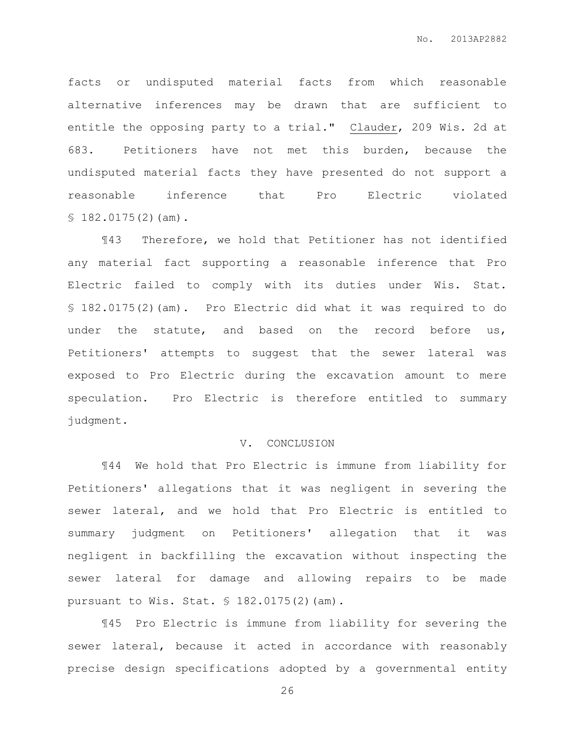facts or undisputed material facts from which reasonable alternative inferences may be drawn that are sufficient to entitle the opposing party to a trial." Clauder, 209 Wis. 2d at 683. Petitioners have not met this burden, because the undisputed material facts they have presented do not support a reasonable inference that Pro Electric violated  $$182.0175(2)(am).$ 

¶43 Therefore, we hold that Petitioner has not identified any material fact supporting a reasonable inference that Pro Electric failed to comply with its duties under Wis. Stat. § 182.0175(2)(am). Pro Electric did what it was required to do under the statute, and based on the record before us, Petitioners' attempts to suggest that the sewer lateral was exposed to Pro Electric during the excavation amount to mere speculation. Pro Electric is therefore entitled to summary judgment.

#### V. CONCLUSION

¶44 We hold that Pro Electric is immune from liability for Petitioners' allegations that it was negligent in severing the sewer lateral, and we hold that Pro Electric is entitled to summary judgment on Petitioners' allegation that it was negligent in backfilling the excavation without inspecting the sewer lateral for damage and allowing repairs to be made pursuant to Wis. Stat. § 182.0175(2)(am).

¶45 Pro Electric is immune from liability for severing the sewer lateral, because it acted in accordance with reasonably precise design specifications adopted by a governmental entity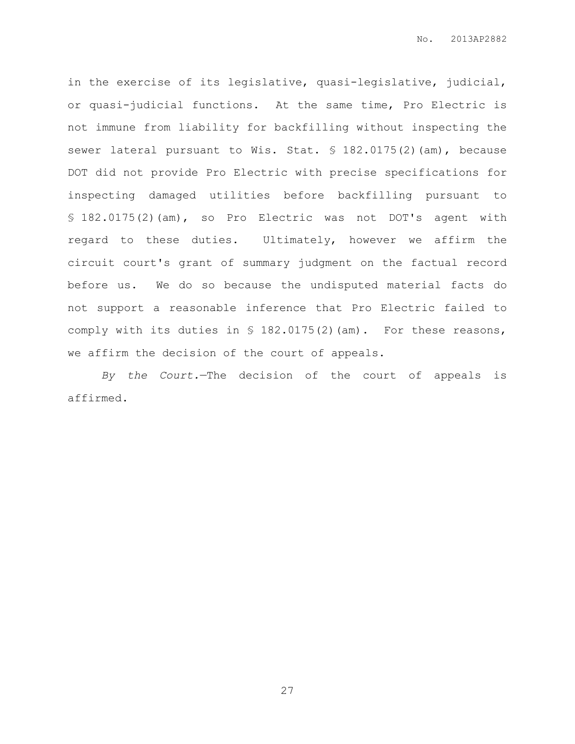in the exercise of its legislative, quasi-legislative, judicial, or quasi-judicial functions. At the same time, Pro Electric is not immune from liability for backfilling without inspecting the sewer lateral pursuant to Wis. Stat. § 182.0175(2)(am), because DOT did not provide Pro Electric with precise specifications for inspecting damaged utilities before backfilling pursuant to § 182.0175(2)(am), so Pro Electric was not DOT's agent with regard to these duties. Ultimately, however we affirm the circuit court's grant of summary judgment on the factual record before us. We do so because the undisputed material facts do not support a reasonable inference that Pro Electric failed to comply with its duties in § 182.0175(2)(am). For these reasons, we affirm the decision of the court of appeals.

*By the Court.*—The decision of the court of appeals is affirmed.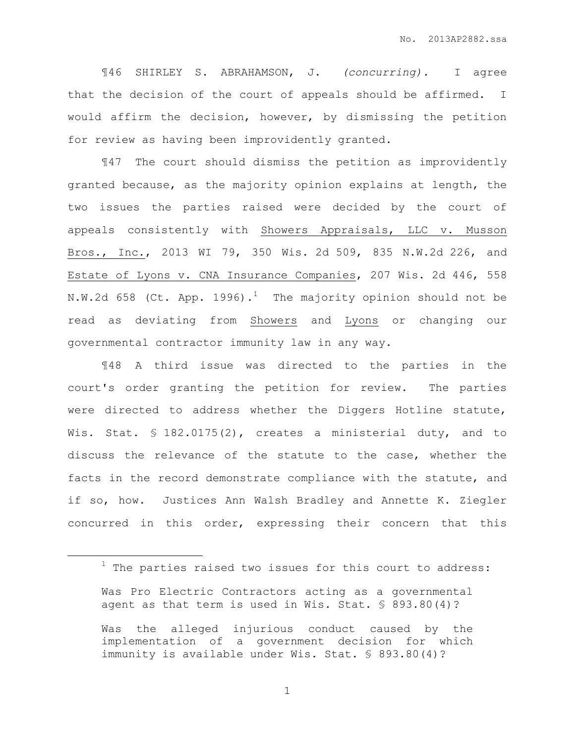¶46 SHIRLEY S. ABRAHAMSON, J. *(concurring).* I agree that the decision of the court of appeals should be affirmed. I would affirm the decision, however, by dismissing the petition for review as having been improvidently granted.

¶47 The court should dismiss the petition as improvidently granted because, as the majority opinion explains at length, the two issues the parties raised were decided by the court of appeals consistently with Showers Appraisals, LLC v. Musson Bros., Inc., 2013 WI 79, 350 Wis. 2d 509, 835 N.W.2d 226, and Estate of Lyons v. CNA Insurance Companies, 207 Wis. 2d 446, 558 N.W.2d 658 (Ct. App. 1996).<sup>1</sup> The majority opinion should not be read as deviating from Showers and Lyons or changing our governmental contractor immunity law in any way.

¶48 A third issue was directed to the parties in the court's order granting the petition for review. The parties were directed to address whether the Diggers Hotline statute, Wis. Stat. § 182.0175(2), creates a ministerial duty, and to discuss the relevance of the statute to the case, whether the facts in the record demonstrate compliance with the statute, and if so, how. Justices Ann Walsh Bradley and Annette K. Ziegler concurred in this order, expressing their concern that this

 $\overline{a}$ 

 $1$  The parties raised two issues for this court to address:

Was Pro Electric Contractors acting as a governmental agent as that term is used in Wis. Stat. § 893.80(4)?

Was the alleged injurious conduct caused by the implementation of a government decision for which immunity is available under Wis. Stat. § 893.80(4)?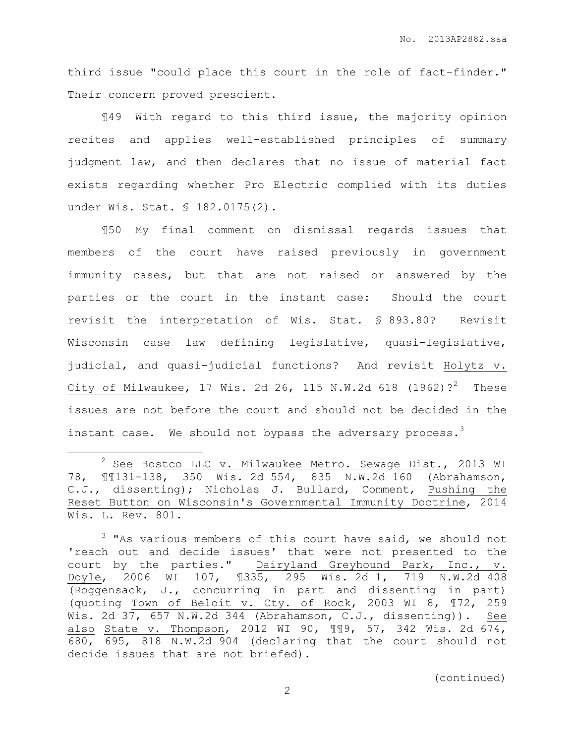third issue "could place this court in the role of fact-finder." Their concern proved prescient.

¶49 With regard to this third issue, the majority opinion recites and applies well-established principles of summary judgment law, and then declares that no issue of material fact exists regarding whether Pro Electric complied with its duties under Wis. Stat. § 182.0175(2).

¶50 My final comment on dismissal regards issues that members of the court have raised previously in government immunity cases, but that are not raised or answered by the parties or the court in the instant case: Should the court revisit the interpretation of Wis. Stat. § 893.80? Revisit Wisconsin case law defining legislative, quasi-legislative, judicial, and quasi-judicial functions? And revisit Holytz v. City of Milwaukee, 17 Wis. 2d 26, 115 N.W.2d 618 (1962)?<sup>2</sup> These issues are not before the court and should not be decided in the instant case. We should not bypass the adversary process.<sup>3</sup>

 $\overline{a}$ 

 $2$  See Bostco LLC v. Milwaukee Metro. Sewage Dist., 2013 WI 78, ¶¶131-138, 350 Wis. 2d 554, 835 N.W.2d 160 (Abrahamson, C.J., dissenting); Nicholas J. Bullard, Comment, Pushing the Reset Button on Wisconsin's Governmental Immunity Doctrine, 2014 Wis. L. Rev. 801.

 $3$  "As various members of this court have said, we should not 'reach out and decide issues' that were not presented to the court by the parties." Dairyland Greyhound Park, Inc., v. Doyle, 2006 WI 107, ¶335, 295 Wis. 2d 1, 719 N.W.2d 408 (Roggensack, J., concurring in part and dissenting in part) (quoting Town of Beloit v. Cty. of Rock, 2003 WI 8, ¶72, 259 Wis. 2d 37, 657 N.W.2d 344 (Abrahamson, C.J., dissenting)). See also State v. Thompson, 2012 WI 90, ¶¶9, 57, 342 Wis. 2d 674, 680, 695, 818 N.W.2d 904 (declaring that the court should not decide issues that are not briefed).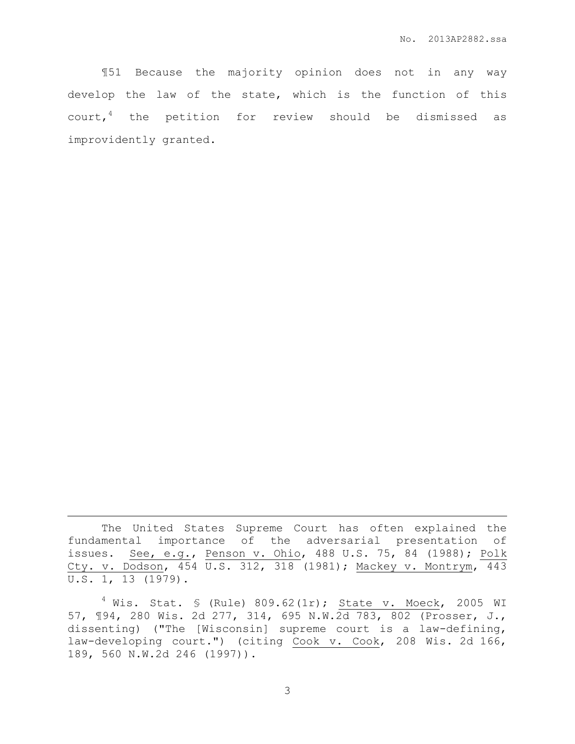¶51 Because the majority opinion does not in any way develop the law of the state, which is the function of this  $court, 4$  the petition for review should be dismissed as improvidently granted.

 $\overline{a}$ 

The United States Supreme Court has often explained the fundamental importance of the adversarial presentation of issues. See, e.g., Penson v. Ohio, 488 U.S. 75, 84 (1988); Polk Cty. v. Dodson, 454 U.S. 312, 318 (1981); Mackey v. Montrym, 443 U.S. 1, 13 (1979).

 $4$  Wis. Stat. § (Rule) 809.62(1r); State v. Moeck, 2005 WI 57, ¶94, 280 Wis. 2d 277, 314, 695 N.W.2d 783, 802 (Prosser, J., dissenting) ("The [Wisconsin] supreme court is a law-defining, law-developing court.") (citing Cook v. Cook, 208 Wis. 2d 166, 189, 560 N.W.2d 246 (1997)).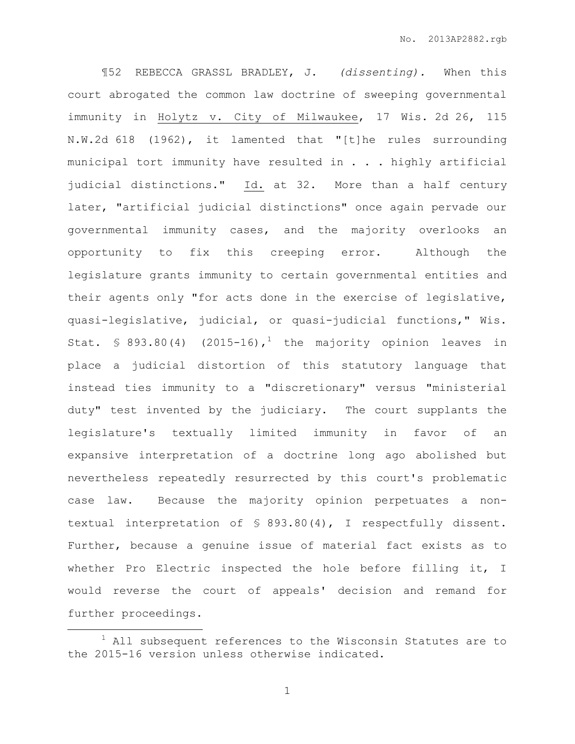¶52 REBECCA GRASSL BRADLEY, J. *(dissenting).* When this court abrogated the common law doctrine of sweeping governmental immunity in Holytz v. City of Milwaukee, 17 Wis. 2d 26, 115 N.W.2d 618 (1962), it lamented that "[t]he rules surrounding municipal tort immunity have resulted in . . . highly artificial judicial distinctions." Id. at 32. More than a half century later, "artificial judicial distinctions" once again pervade our governmental immunity cases, and the majority overlooks an opportunity to fix this creeping error. Although the legislature grants immunity to certain governmental entities and their agents only "for acts done in the exercise of legislative, quasi-legislative, judicial, or quasi-judicial functions," Wis. Stat. § 893.80(4) (2015-16),<sup>1</sup> the majority opinion leaves in place a judicial distortion of this statutory language that instead ties immunity to a "discretionary" versus "ministerial duty" test invented by the judiciary. The court supplants the legislature's textually limited immunity in favor of an expansive interpretation of a doctrine long ago abolished but nevertheless repeatedly resurrected by this court's problematic case law. Because the majority opinion perpetuates a nontextual interpretation of § 893.80(4), I respectfully dissent. Further, because a genuine issue of material fact exists as to whether Pro Electric inspected the hole before filling it, I would reverse the court of appeals' decision and remand for further proceedings.

 $\overline{a}$ 

 $1$  All subsequent references to the Wisconsin Statutes are to the 2015-16 version unless otherwise indicated.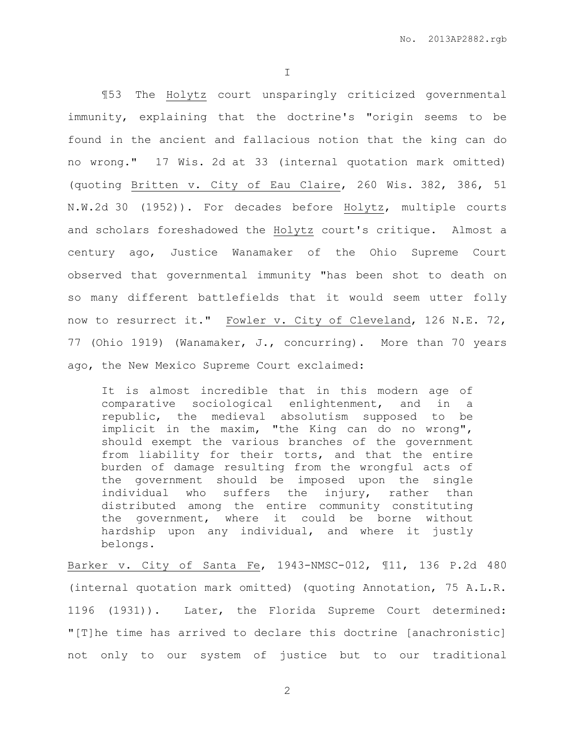I

¶53 The Holytz court unsparingly criticized governmental immunity, explaining that the doctrine's "origin seems to be found in the ancient and fallacious notion that the king can do no wrong." 17 Wis. 2d at 33 (internal quotation mark omitted) (quoting Britten v. City of Eau Claire, 260 Wis. 382, 386, 51 N.W.2d 30 (1952)). For decades before Holytz, multiple courts and scholars foreshadowed the Holytz court's critique. Almost a century ago, Justice Wanamaker of the Ohio Supreme Court observed that governmental immunity "has been shot to death on so many different battlefields that it would seem utter folly now to resurrect it." Fowler v. City of Cleveland, 126 N.E. 72, 77 (Ohio 1919) (Wanamaker, J., concurring). More than 70 years ago, the New Mexico Supreme Court exclaimed:

It is almost incredible that in this modern age of comparative sociological enlightenment, and in a republic, the medieval absolutism supposed to be implicit in the maxim, "the King can do no wrong", should exempt the various branches of the government from liability for their torts, and that the entire burden of damage resulting from the wrongful acts of the government should be imposed upon the single individual who suffers the injury, rather than distributed among the entire community constituting the government, where it could be borne without hardship upon any individual, and where it justly belongs.

Barker v. City of Santa Fe, 1943-NMSC-012, ¶11, 136 P.2d 480 (internal quotation mark omitted) (quoting Annotation, 75 A.L.R. 1196 (1931)). Later, the Florida Supreme Court determined: "[T]he time has arrived to declare this doctrine [anachronistic] not only to our system of justice but to our traditional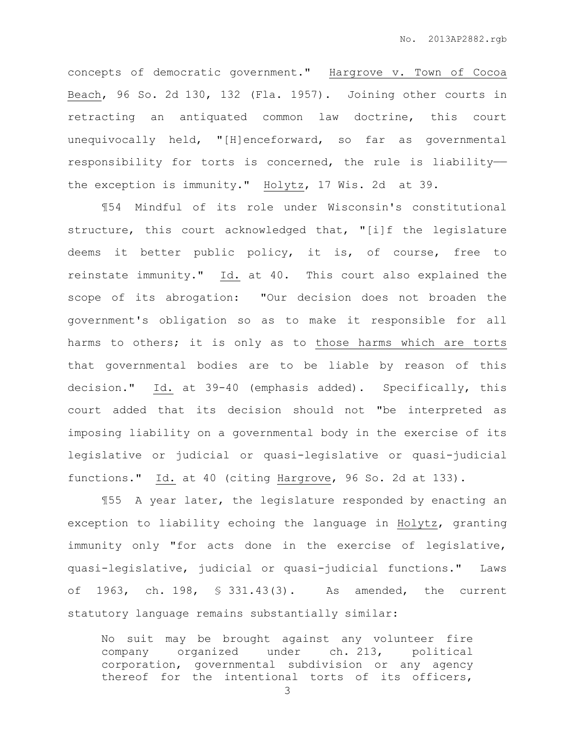concepts of democratic government." Hargrove v. Town of Cocoa Beach, 96 So. 2d 130, 132 (Fla. 1957). Joining other courts in retracting an antiquated common law doctrine, this court unequivocally held, "[H]enceforward, so far as governmental responsibility for torts is concerned, the rule is liabilitythe exception is immunity." Holytz, 17 Wis. 2d at 39.

¶54 Mindful of its role under Wisconsin's constitutional structure, this court acknowledged that, "[i]f the legislature deems it better public policy, it is, of course, free to reinstate immunity." Id. at 40. This court also explained the scope of its abrogation: "Our decision does not broaden the government's obligation so as to make it responsible for all harms to others; it is only as to those harms which are torts that governmental bodies are to be liable by reason of this decision." Id. at 39-40 (emphasis added). Specifically, this court added that its decision should not "be interpreted as imposing liability on a governmental body in the exercise of its legislative or judicial or quasi-legislative or quasi-judicial functions." Id. at 40 (citing Hargrove, 96 So. 2d at 133).

¶55 A year later, the legislature responded by enacting an exception to liability echoing the language in Holytz, granting immunity only "for acts done in the exercise of legislative, quasi-legislative, judicial or quasi-judicial functions." Laws of 1963, ch. 198, § 331.43(3). As amended, the current statutory language remains substantially similar:

No suit may be brought against any volunteer fire company organized under ch. 213, political corporation, governmental subdivision or any agency thereof for the intentional torts of its officers,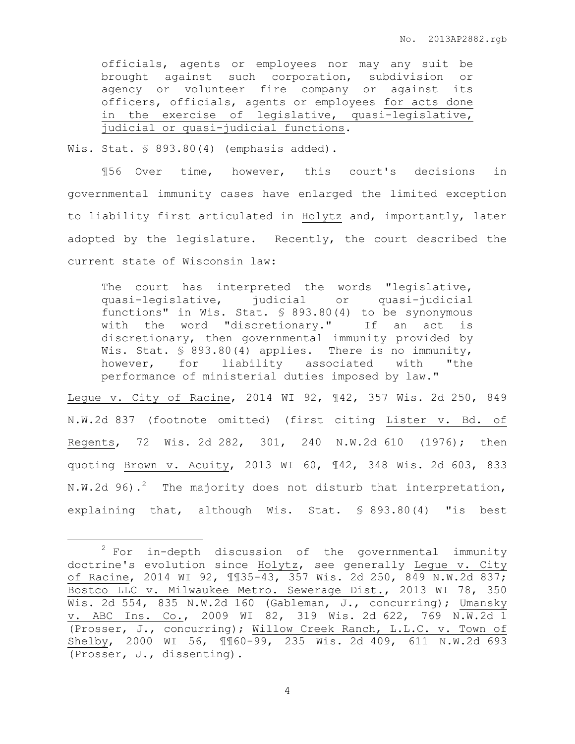officials, agents or employees nor may any suit be brought against such corporation, subdivision or agency or volunteer fire company or against its officers, officials, agents or employees for acts done in the exercise of legislative, quasi-legislative, judicial or quasi-judicial functions.

Wis. Stat. § 893.80(4) (emphasis added).

 $\overline{a}$ 

¶56 Over time, however, this court's decisions in governmental immunity cases have enlarged the limited exception to liability first articulated in Holytz and, importantly, later adopted by the legislature. Recently, the court described the current state of Wisconsin law:

The court has interpreted the words "legislative, quasi-legislative, judicial or quasi-judicial functions" in Wis. Stat. § 893.80(4) to be synonymous with the word "discretionary." If an act is discretionary, then governmental immunity provided by Wis. Stat. § 893.80(4) applies. There is no immunity, however, for liability associated with "the performance of ministerial duties imposed by law."

Legue v. City of Racine, 2014 WI 92, ¶42, 357 Wis. 2d 250, 849 N.W.2d 837 (footnote omitted) (first citing Lister v. Bd. of Regents, 72 Wis. 2d 282, 301, 240 N.W.2d 610 (1976); then quoting Brown v. Acuity, 2013 WI 60, ¶42, 348 Wis. 2d 603, 833 N.W.2d 96).<sup>2</sup> The majority does not disturb that interpretation, explaining that, although Wis. Stat. § 893.80(4) "is best

 $2$  For in-depth discussion of the governmental immunity doctrine's evolution since Holytz, see generally Legue v. City of Racine, 2014 WI 92, ¶¶35-43, 357 Wis. 2d 250, 849 N.W.2d 837; Bostco LLC v. Milwaukee Metro. Sewerage Dist., 2013 WI 78, 350 Wis. 2d 554, 835 N.W.2d 160 (Gableman, J., concurring); Umansky v. ABC Ins. Co., 2009 WI 82, 319 Wis. 2d 622, 769 N.W.2d 1 (Prosser, J., concurring); Willow Creek Ranch, L.L.C. v. Town of Shelby, 2000 WI 56, ¶¶60-99, 235 Wis. 2d 409, 611 N.W.2d 693 (Prosser, J., dissenting).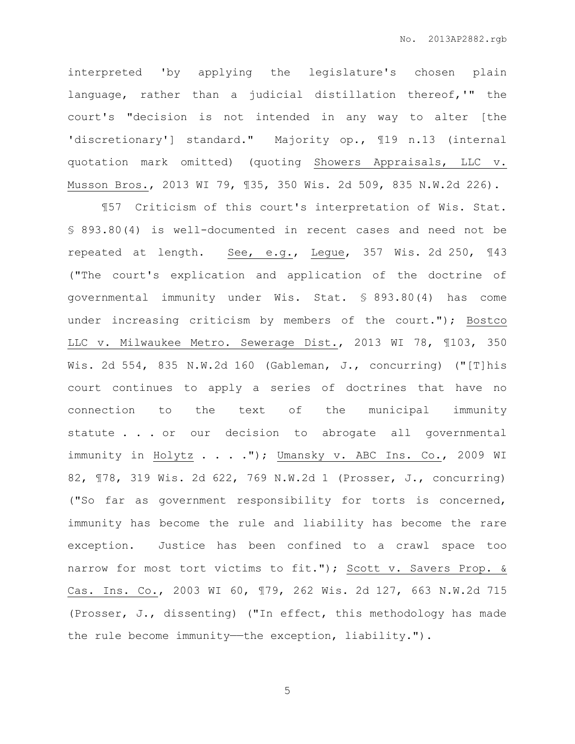interpreted 'by applying the legislature's chosen plain language, rather than a judicial distillation thereof,'" the court's "decision is not intended in any way to alter [the 'discretionary'] standard." Majority op., ¶19 n.13 (internal quotation mark omitted) (quoting Showers Appraisals, LLC v. Musson Bros., 2013 WI 79, ¶35, 350 Wis. 2d 509, 835 N.W.2d 226).

¶57 Criticism of this court's interpretation of Wis. Stat. § 893.80(4) is well-documented in recent cases and need not be repeated at length. See, e.g., Legue, 357 Wis. 2d 250, ¶43 ("The court's explication and application of the doctrine of governmental immunity under Wis. Stat. § 893.80(4) has come under increasing criticism by members of the court."); Bostco LLC v. Milwaukee Metro. Sewerage Dist., 2013 WI 78, ¶103, 350 Wis. 2d 554, 835 N.W.2d 160 (Gableman, J., concurring) ("[T]his court continues to apply a series of doctrines that have no connection to the text of the municipal immunity statute . . . or our decision to abrogate all governmental immunity in Holytz . . . . "); Umansky v. ABC Ins. Co., 2009 WI 82, ¶78, 319 Wis. 2d 622, 769 N.W.2d 1 (Prosser, J., concurring) ("So far as government responsibility for torts is concerned, immunity has become the rule and liability has become the rare exception. Justice has been confined to a crawl space too narrow for most tort victims to fit."); Scott v. Savers Prop. & Cas. Ins. Co., 2003 WI 60, ¶79, 262 Wis. 2d 127, 663 N.W.2d 715 (Prosser, J., dissenting) ("In effect, this methodology has made the rule become immunity—the exception, liability.").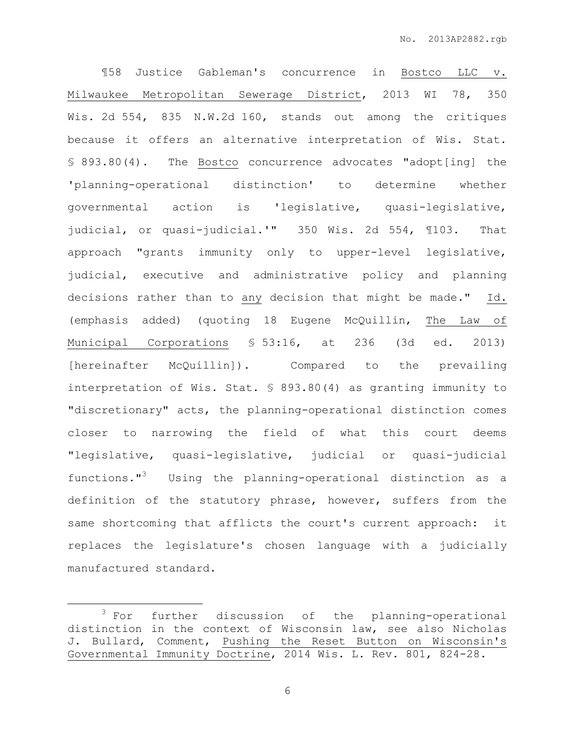¶58 Justice Gableman's concurrence in Bostco LLC v. Milwaukee Metropolitan Sewerage District, 2013 WI 78, 350 Wis. 2d 554, 835 N.W.2d 160, stands out among the critiques because it offers an alternative interpretation of Wis. Stat. § 893.80(4). The Bostco concurrence advocates "adopt[ing] the 'planning-operational distinction' to determine whether governmental action is 'legislative, quasi-legislative, judicial, or quasi-judicial.'" 350 Wis. 2d 554, ¶103. That approach "grants immunity only to upper-level legislative, judicial, executive and administrative policy and planning decisions rather than to any decision that might be made." Id. (emphasis added) (quoting 18 Eugene McQuillin, The Law of Municipal Corporations § 53:16, at 236 (3d ed. 2013) [hereinafter McQuillin]). Compared to the prevailing interpretation of Wis. Stat. § 893.80(4) as granting immunity to "discretionary" acts, the planning-operational distinction comes closer to narrowing the field of what this court deems "legislative, quasi-legislative, judicial or quasi-judicial functions."<sup>3</sup> Using the planning-operational distinction as a definition of the statutory phrase, however, suffers from the same shortcoming that afflicts the court's current approach: it replaces the legislature's chosen language with a judicially manufactured standard.

 $\overline{a}$ 

<sup>3</sup> For further discussion of the planning-operational distinction in the context of Wisconsin law, see also Nicholas J. Bullard, Comment, Pushing the Reset Button on Wisconsin's Governmental Immunity Doctrine, 2014 Wis. L. Rev. 801, 824-28.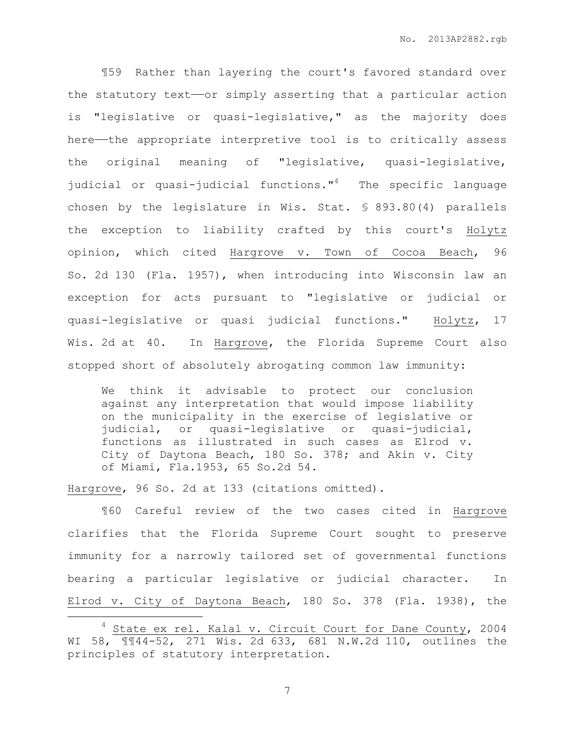¶59 Rather than layering the court's favored standard over the statutory text——or simply asserting that a particular action is "legislative or quasi-legislative," as the majority does here—the appropriate interpretive tool is to critically assess the original meaning of "legislative, quasi-legislative, judicial or quasi-judicial functions. $"^4$  The specific language chosen by the legislature in Wis. Stat. § 893.80(4) parallels the exception to liability crafted by this court's Holytz opinion, which cited Hargrove v. Town of Cocoa Beach, 96 So. 2d 130 (Fla. 1957), when introducing into Wisconsin law an exception for acts pursuant to "legislative or judicial or quasi-legislative or quasi judicial functions." Holytz, 17 Wis. 2d at 40. In Hargrove, the Florida Supreme Court also stopped short of absolutely abrogating common law immunity:

We think it advisable to protect our conclusion against any interpretation that would impose liability on the municipality in the exercise of legislative or judicial, or quasi-legislative or quasi-judicial, functions as illustrated in such cases as Elrod v. City of Daytona Beach, 180 So. 378; and Akin v. City of Miami, Fla.1953, 65 So.2d 54.

Hargrove, 96 So. 2d at 133 (citations omitted).

 $\overline{a}$ 

¶60 Careful review of the two cases cited in Hargrove clarifies that the Florida Supreme Court sought to preserve immunity for a narrowly tailored set of governmental functions bearing a particular legislative or judicial character. In Elrod v. City of Daytona Beach, 180 So. 378 (Fla. 1938), the

<sup>&</sup>lt;sup>4</sup> State ex rel. Kalal v. Circuit Court for Dane County, 2004 WI 58, ¶¶44-52, 271 Wis. 2d 633, 681 N.W.2d 110, outlines the principles of statutory interpretation.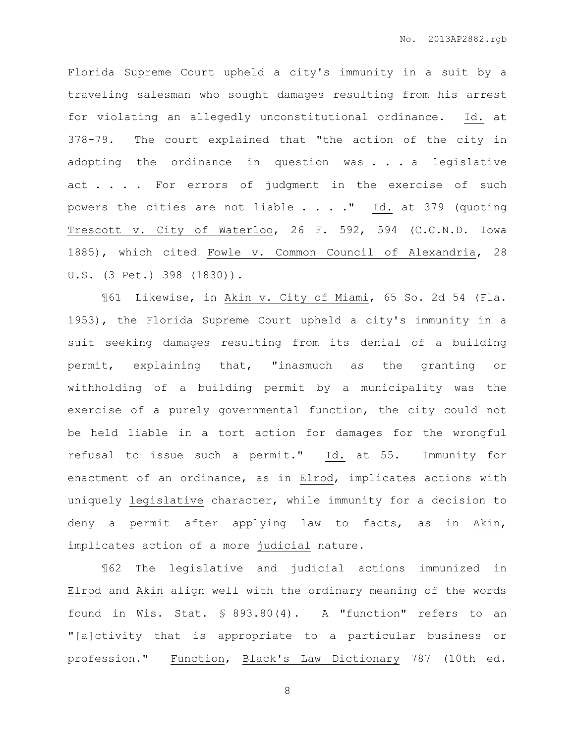Florida Supreme Court upheld a city's immunity in a suit by a traveling salesman who sought damages resulting from his arrest for violating an allegedly unconstitutional ordinance. Id. at 378-79. The court explained that "the action of the city in adopting the ordinance in question was . . . a legislative act . . . . For errors of judgment in the exercise of such powers the cities are not liable . . . ." Id. at 379 (quoting Trescott v. City of Waterloo, 26 F. 592, 594 (C.C.N.D. Iowa 1885), which cited Fowle v. Common Council of Alexandria, 28 U.S. (3 Pet.) 398 (1830)).

¶61 Likewise, in Akin v. City of Miami, 65 So. 2d 54 (Fla. 1953), the Florida Supreme Court upheld a city's immunity in a suit seeking damages resulting from its denial of a building permit, explaining that, "inasmuch as the granting or withholding of a building permit by a municipality was the exercise of a purely governmental function, the city could not be held liable in a tort action for damages for the wrongful refusal to issue such a permit." Id. at 55. Immunity for enactment of an ordinance, as in Elrod, implicates actions with uniquely legislative character, while immunity for a decision to deny a permit after applying law to facts, as in Akin, implicates action of a more judicial nature.

¶62 The legislative and judicial actions immunized in Elrod and Akin align well with the ordinary meaning of the words found in Wis. Stat. § 893.80(4). A "function" refers to an "[a]ctivity that is appropriate to a particular business or profession." Function, Black's Law Dictionary 787 (10th ed.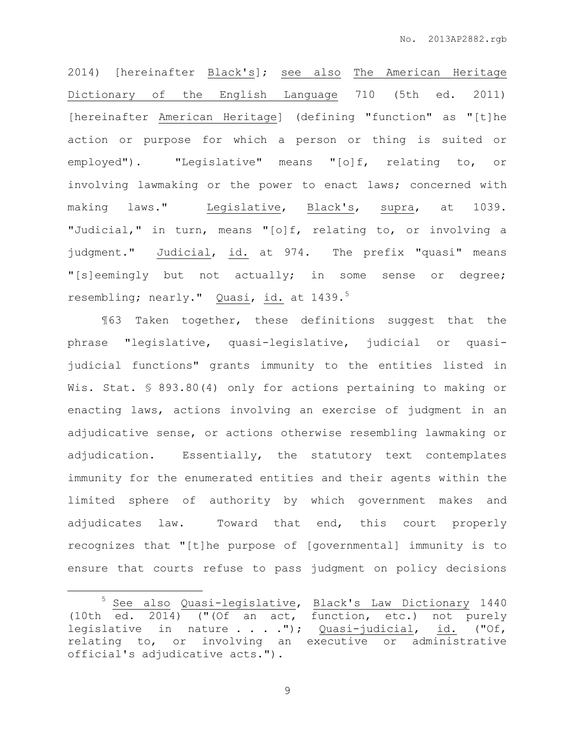2014) [hereinafter Black's]; see also The American Heritage Dictionary of the English Language 710 (5th ed. 2011) [hereinafter American Heritage] (defining "function" as "[t]he action or purpose for which a person or thing is suited or employed"). "Legislative" means "[o]f, relating to, or involving lawmaking or the power to enact laws; concerned with making laws." Legislative, Black's, supra, at 1039. "Judicial," in turn, means "[o]f, relating to, or involving a judgment." Judicial, id. at 974. The prefix "quasi" means "[s]eemingly but not actually; in some sense or degree; resembling; nearly." Quasi, id. at 1439.<sup>5</sup>

¶63 Taken together, these definitions suggest that the phrase "legislative, quasi-legislative, judicial or quasijudicial functions" grants immunity to the entities listed in Wis. Stat. § 893.80(4) only for actions pertaining to making or enacting laws, actions involving an exercise of judgment in an adjudicative sense, or actions otherwise resembling lawmaking or adjudication. Essentially, the statutory text contemplates immunity for the enumerated entities and their agents within the limited sphere of authority by which government makes and adjudicates law. Toward that end, this court properly recognizes that "[t]he purpose of [governmental] immunity is to ensure that courts refuse to pass judgment on policy decisions

 $\overline{a}$ 

See also Quasi-legislative, Black's Law Dictionary 1440 (10th ed. 2014) ("(Of an act, function, etc.) not purely legislative in nature . . . . "); Quasi-judicial, id. ("Of, relating to, or involving an executive or administrative official's adjudicative acts.").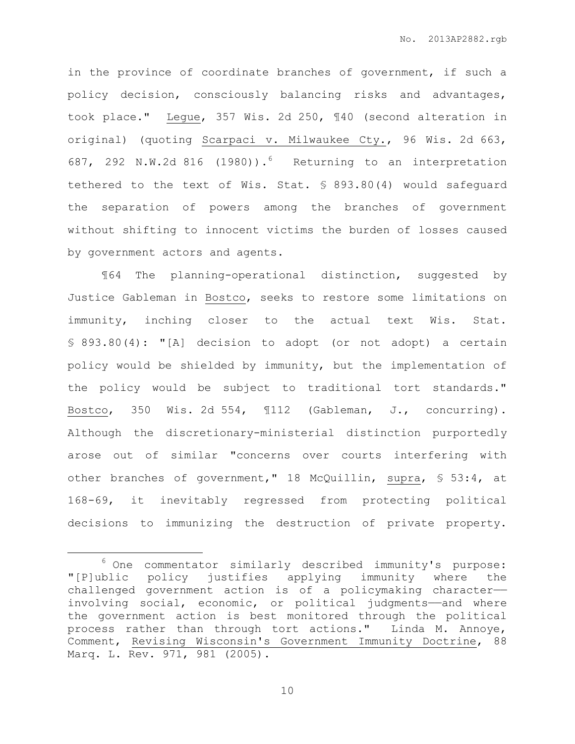in the province of coordinate branches of government, if such a policy decision, consciously balancing risks and advantages, took place." Legue, 357 Wis. 2d 250, ¶40 (second alteration in original) (quoting Scarpaci v. Milwaukee Cty., 96 Wis. 2d 663, 687, 292 N.W.2d 816 (1980)). <sup>6</sup> Returning to an interpretation tethered to the text of Wis. Stat. § 893.80(4) would safeguard the separation of powers among the branches of government without shifting to innocent victims the burden of losses caused by government actors and agents.

¶64 The planning-operational distinction, suggested by Justice Gableman in Bostco, seeks to restore some limitations on immunity, inching closer to the actual text Wis. Stat. § 893.80(4): "[A] decision to adopt (or not adopt) a certain policy would be shielded by immunity, but the implementation of the policy would be subject to traditional tort standards." Bostco, 350 Wis. 2d 554, ¶112 (Gableman, J., concurring). Although the discretionary-ministerial distinction purportedly arose out of similar "concerns over courts interfering with other branches of government," 18 McQuillin, supra, § 53:4, at 168-69, it inevitably regressed from protecting political decisions to immunizing the destruction of private property.

 $\overline{a}$ 

 $6$  One commentator similarly described immunity's purpose: "[P]ublic policy justifies applying immunity where the challenged government action is of a policymaking characterinvolving social, economic, or political judgments—and where the government action is best monitored through the political process rather than through tort actions." Linda M. Annoye, Comment, Revising Wisconsin's Government Immunity Doctrine, 88 Marq. L. Rev. 971, 981 (2005).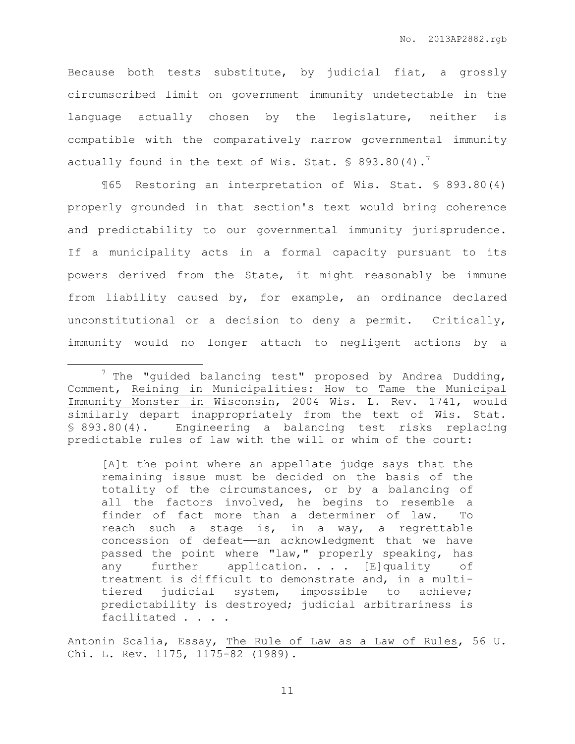Because both tests substitute, by judicial fiat, a grossly circumscribed limit on government immunity undetectable in the language actually chosen by the legislature, neither is compatible with the comparatively narrow governmental immunity actually found in the text of Wis. Stat.  $\frac{1}{5}$  893.80(4).<sup>7</sup>

¶65 Restoring an interpretation of Wis. Stat. § 893.80(4) properly grounded in that section's text would bring coherence and predictability to our governmental immunity jurisprudence. If a municipality acts in a formal capacity pursuant to its powers derived from the State, it might reasonably be immune from liability caused by, for example, an ordinance declared unconstitutional or a decision to deny a permit. Critically, immunity would no longer attach to negligent actions by a

 $\overline{a}$ 

[A]t the point where an appellate judge says that the remaining issue must be decided on the basis of the totality of the circumstances, or by a balancing of all the factors involved, he begins to resemble a finder of fact more than a determiner of law. To reach such a stage is, in a way, a regrettable concession of defeat——an acknowledgment that we have passed the point where "law," properly speaking, has any further application. . . [E]quality of treatment is difficult to demonstrate and, in a multitiered judicial system, impossible to achieve; predictability is destroyed; judicial arbitrariness is facilitated . . . .

Antonin Scalia, Essay, The Rule of Law as a Law of Rules, 56 U. Chi. L. Rev. 1175, 1175-82 (1989).

 $7$  The "guided balancing test" proposed by Andrea Dudding, Comment, Reining in Municipalities: How to Tame the Municipal Immunity Monster in Wisconsin, 2004 Wis. L. Rev. 1741, would similarly depart inappropriately from the text of Wis. Stat. § 893.80(4). Engineering a balancing test risks replacing predictable rules of law with the will or whim of the court: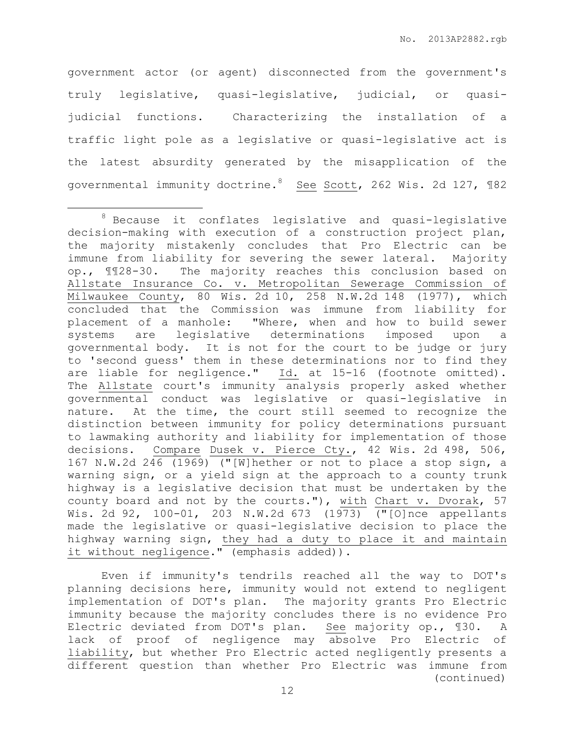government actor (or agent) disconnected from the government's truly legislative, quasi-legislative, judicial, or quasijudicial functions. Characterizing the installation of a traffic light pole as a legislative or quasi-legislative act is the latest absurdity generated by the misapplication of the governmental immunity doctrine. See Scott, 262 Wis. 2d 127, 182

 $\overline{a}$ 

Even if immunity's tendrils reached all the way to DOT's planning decisions here, immunity would not extend to negligent implementation of DOT's plan. The majority grants Pro Electric immunity because the majority concludes there is no evidence Pro Electric deviated from DOT's plan. See majority op., ¶30. A lack of proof of negligence may absolve Pro Electric of liability, but whether Pro Electric acted negligently presents a different question than whether Pro Electric was immune from (continued)

<sup>&</sup>lt;sup>8</sup> Because it conflates legislative and quasi-legislative decision-making with execution of a construction project plan, the majority mistakenly concludes that Pro Electric can be immune from liability for severing the sewer lateral. Majority op., ¶¶28-30. The majority reaches this conclusion based on Allstate Insurance Co. v. Metropolitan Sewerage Commission of Milwaukee County, 80 Wis. 2d 10, 258 N.W.2d 148 (1977), which concluded that the Commission was immune from liability for placement of a manhole: "Where, when and how to build sewer systems are legislative determinations imposed upon a governmental body. It is not for the court to be judge or jury to 'second guess' them in these determinations nor to find they are liable for negligence." Id. at 15-16 (footnote omitted). The Allstate court's immunity analysis properly asked whether governmental conduct was legislative or quasi-legislative in nature. At the time, the court still seemed to recognize the distinction between immunity for policy determinations pursuant to lawmaking authority and liability for implementation of those decisions. Compare Dusek v. Pierce Cty., 42 Wis. 2d 498, 506, 167 N.W.2d 246 (1969) ("[W]hether or not to place a stop sign, a warning sign, or a yield sign at the approach to a county trunk highway is a legislative decision that must be undertaken by the county board and not by the courts."), with Chart v. Dvorak, 57 Wis. 2d 92, 100-01, 203 N.W.2d 673 (1973) ("[O]nce appellants made the legislative or quasi-legislative decision to place the highway warning sign, they had a duty to place it and maintain it without negligence." (emphasis added)).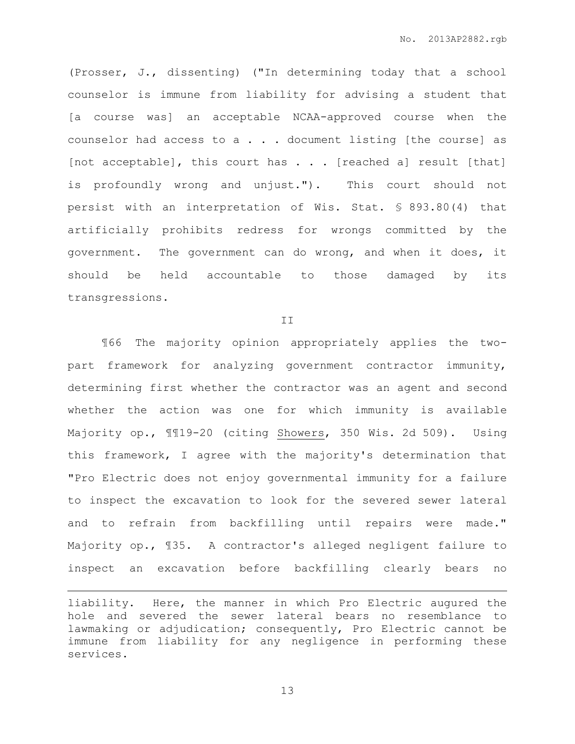(Prosser, J., dissenting) ("In determining today that a school counselor is immune from liability for advising a student that [a course was] an acceptable NCAA-approved course when the counselor had access to a . . . document listing [the course] as [not acceptable], this court has . . . [reached a] result [that] is profoundly wrong and unjust."). This court should not persist with an interpretation of Wis. Stat. § 893.80(4) that artificially prohibits redress for wrongs committed by the government. The government can do wrong, and when it does, it should be held accountable to those damaged by its transgressions.

#### II

¶66 The majority opinion appropriately applies the twopart framework for analyzing government contractor immunity, determining first whether the contractor was an agent and second whether the action was one for which immunity is available Majority op., ¶¶19-20 (citing Showers, 350 Wis. 2d 509). Using this framework, I agree with the majority's determination that "Pro Electric does not enjoy governmental immunity for a failure to inspect the excavation to look for the severed sewer lateral and to refrain from backfilling until repairs were made." Majority op., ¶35. A contractor's alleged negligent failure to inspect an excavation before backfilling clearly bears no

 $\overline{a}$ 

liability. Here, the manner in which Pro Electric augured the hole and severed the sewer lateral bears no resemblance to lawmaking or adjudication; consequently, Pro Electric cannot be immune from liability for any negligence in performing these services.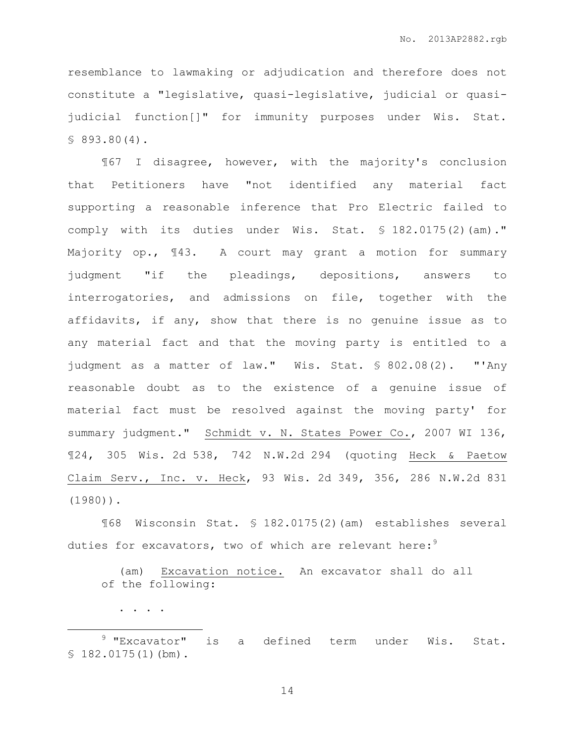resemblance to lawmaking or adjudication and therefore does not constitute a "legislative, quasi-legislative, judicial or quasijudicial function[]" for immunity purposes under Wis. Stat. § 893.80(4).

¶67 I disagree, however, with the majority's conclusion that Petitioners have "not identified any material fact supporting a reasonable inference that Pro Electric failed to comply with its duties under Wis. Stat. § 182.0175(2)(am)." Majority op., ¶43. A court may grant a motion for summary judgment "if the pleadings, depositions, answers to interrogatories, and admissions on file, together with the affidavits, if any, show that there is no genuine issue as to any material fact and that the moving party is entitled to a judgment as a matter of law." Wis. Stat. § 802.08(2). "'Any reasonable doubt as to the existence of a genuine issue of material fact must be resolved against the moving party' for summary judgment." Schmidt v. N. States Power Co., 2007 WI 136, ¶24, 305 Wis. 2d 538, 742 N.W.2d 294 (quoting Heck & Paetow Claim Serv., Inc. v. Heck, 93 Wis. 2d 349, 356, 286 N.W.2d 831 (1980)).

¶68 Wisconsin Stat. § 182.0175(2)(am) establishes several duties for excavators, two of which are relevant here:<sup>9</sup>

(am) Excavation notice. An excavator shall do all of the following:

. . . .

 $\overline{a}$ 

<sup>9</sup> "Excavator" is a defined term under Wis. Stat. § 182.0175(1)(bm).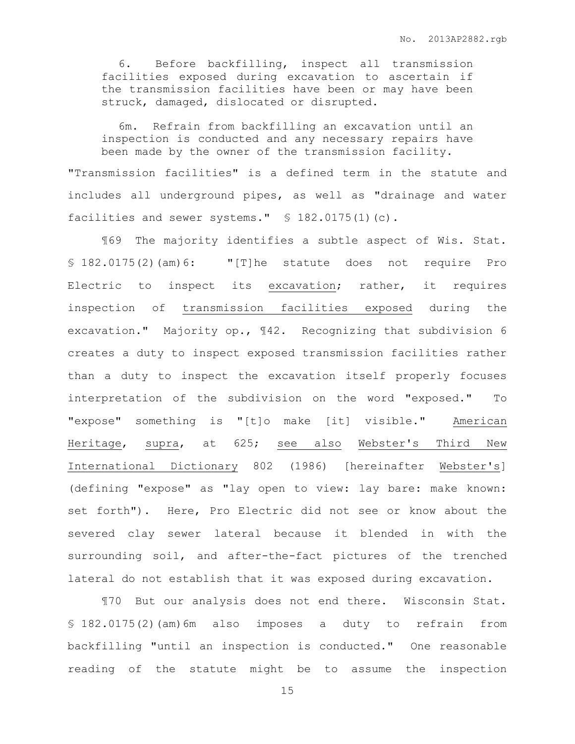6. Before backfilling, inspect all transmission facilities exposed during excavation to ascertain if the transmission facilities have been or may have been struck, damaged, dislocated or disrupted.

6m. Refrain from backfilling an excavation until an inspection is conducted and any necessary repairs have been made by the owner of the transmission facility.

"Transmission facilities" is a defined term in the statute and includes all underground pipes, as well as "drainage and water facilities and sewer systems." § 182.0175(1)(c).

¶69 The majority identifies a subtle aspect of Wis. Stat. § 182.0175(2)(am)6: "[T]he statute does not require Pro Electric to inspect its excavation; rather, it requires inspection of transmission facilities exposed during the excavation." Majority op., ¶42. Recognizing that subdivision 6 creates a duty to inspect exposed transmission facilities rather than a duty to inspect the excavation itself properly focuses interpretation of the subdivision on the word "exposed." To "expose" something is "[t]o make [it] visible." American Heritage, supra, at 625; see also Webster's Third New International Dictionary 802 (1986) [hereinafter Webster's] (defining "expose" as "lay open to view: lay bare: make known: set forth"). Here, Pro Electric did not see or know about the severed clay sewer lateral because it blended in with the surrounding soil, and after-the-fact pictures of the trenched lateral do not establish that it was exposed during excavation.

¶70 But our analysis does not end there. Wisconsin Stat. § 182.0175(2)(am)6m also imposes a duty to refrain from backfilling "until an inspection is conducted." One reasonable reading of the statute might be to assume the inspection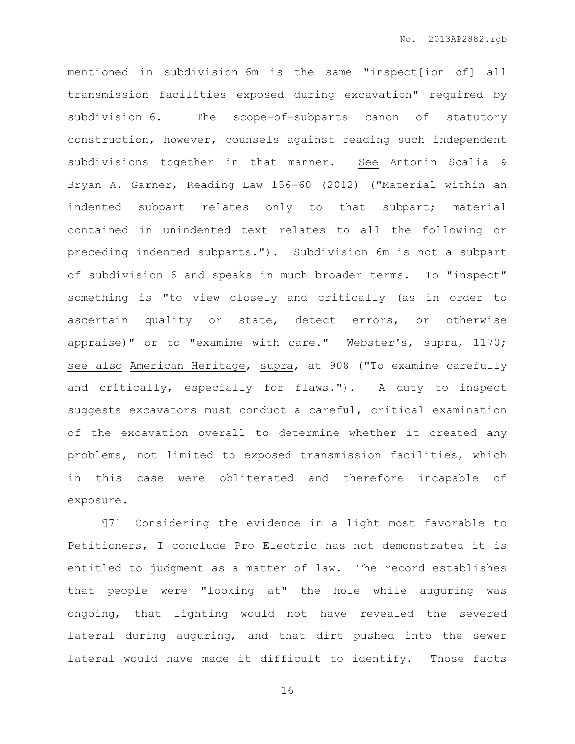mentioned in subdivision 6m is the same "inspect[ion of] all transmission facilities exposed during excavation" required by subdivision 6. The scope-of-subparts canon of statutory construction, however, counsels against reading such independent subdivisions together in that manner. See Antonin Scalia & Bryan A. Garner, Reading Law 156-60 (2012) ("Material within an indented subpart relates only to that subpart; material contained in unindented text relates to all the following or preceding indented subparts."). Subdivision 6m is not a subpart of subdivision 6 and speaks in much broader terms. To "inspect" something is "to view closely and critically (as in order to ascertain quality or state, detect errors, or otherwise appraise)" or to "examine with care." Webster's, supra, 1170; see also American Heritage, supra, at 908 ("To examine carefully and critically, especially for flaws."). A duty to inspect suggests excavators must conduct a careful, critical examination of the excavation overall to determine whether it created any problems, not limited to exposed transmission facilities, which in this case were obliterated and therefore incapable of exposure.

¶71 Considering the evidence in a light most favorable to Petitioners, I conclude Pro Electric has not demonstrated it is entitled to judgment as a matter of law. The record establishes that people were "looking at" the hole while auguring was ongoing, that lighting would not have revealed the severed lateral during auguring, and that dirt pushed into the sewer lateral would have made it difficult to identify. Those facts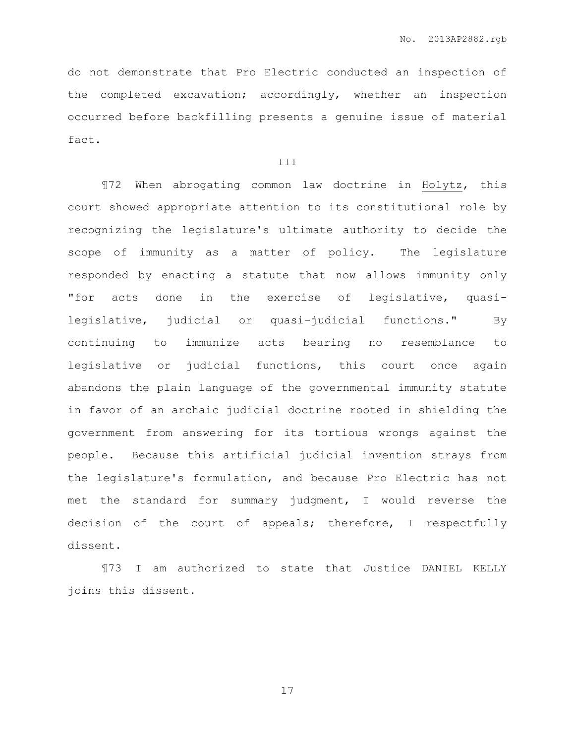do not demonstrate that Pro Electric conducted an inspection of the completed excavation; accordingly, whether an inspection occurred before backfilling presents a genuine issue of material fact.

#### **III**

¶72 When abrogating common law doctrine in Holytz, this court showed appropriate attention to its constitutional role by recognizing the legislature's ultimate authority to decide the scope of immunity as a matter of policy. The legislature responded by enacting a statute that now allows immunity only "for acts done in the exercise of legislative, quasilegislative, judicial or quasi-judicial functions." By continuing to immunize acts bearing no resemblance to legislative or judicial functions, this court once again abandons the plain language of the governmental immunity statute in favor of an archaic judicial doctrine rooted in shielding the government from answering for its tortious wrongs against the people. Because this artificial judicial invention strays from the legislature's formulation, and because Pro Electric has not met the standard for summary judgment, I would reverse the decision of the court of appeals; therefore, I respectfully dissent.

¶73 I am authorized to state that Justice DANIEL KELLY joins this dissent.